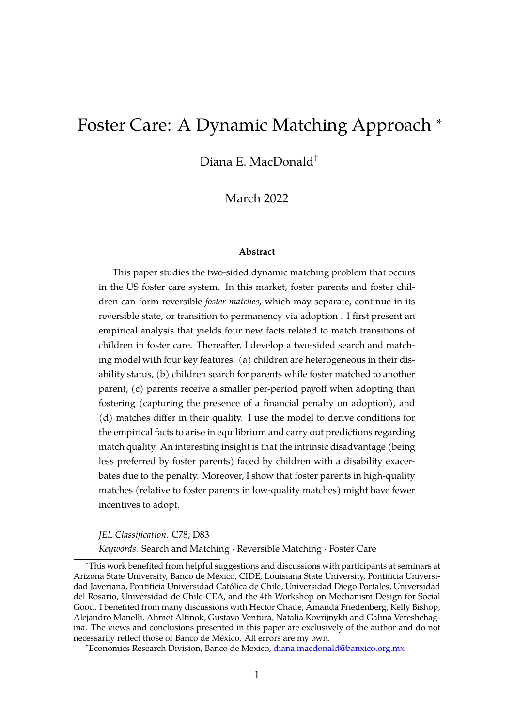# <span id="page-0-0"></span>Foster Care: A Dynamic Matching Approach <sup>∗</sup>

Diana E. MacDonald†

March 2022

#### **Abstract**

This paper studies the two-sided dynamic matching problem that occurs in the US foster care system. In this market, foster parents and foster children can form reversible *foster matches*, which may separate, continue in its reversible state, or transition to permanency via adoption . I first present an empirical analysis that yields four new facts related to match transitions of children in foster care. Thereafter, I develop a two-sided search and matching model with four key features: (a) children are heterogeneous in their disability status, (b) children search for parents while foster matched to another parent, (c) parents receive a smaller per-period payoff when adopting than fostering (capturing the presence of a financial penalty on adoption), and (d) matches differ in their quality. I use the model to derive conditions for the empirical facts to arise in equilibrium and carry out predictions regarding match quality. An interesting insight is that the intrinsic disadvantage (being less preferred by foster parents) faced by children with a disability exacerbates due to the penalty. Moreover, I show that foster parents in high-quality matches (relative to foster parents in low-quality matches) might have fewer incentives to adopt.

*JEL Classification.* C78; D83

*Keywords.* Search and Matching · Reversible Matching · Foster Care

<sup>∗</sup>This work benefited from helpful suggestions and discussions with participants at seminars at Arizona State University, Banco de Mexico, CIDE, Louisiana State University, Pontificia Universi- ´ dad Javeriana, Pontificia Universidad Catolica de Chile, Universidad Diego Portales, Universidad ´ del Rosario, Universidad de Chile-CEA, and the 4th Workshop on Mechanism Design for Social Good. I benefited from many discussions with Hector Chade, Amanda Friedenberg, Kelly Bishop, Alejandro Manelli, Ahmet Altinok, Gustavo Ventura, Natalia Kovrijnykh and Galina Vereshchagina. The views and conclusions presented in this paper are exclusively of the author and do not necessarily reflect those of Banco de México. All errors are my own.

<sup>†</sup>Economics Research Division, Banco de Mexico, [diana.macdonald@banxico.org.mx](mailto:diana.macdonald@banxico.org.mx)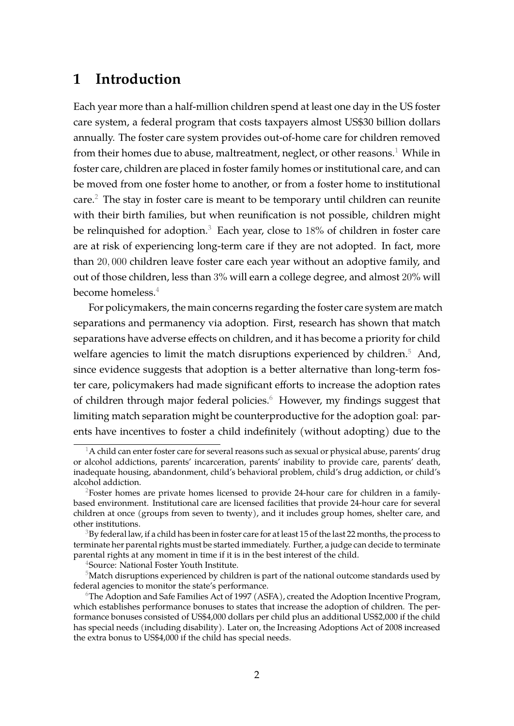# **1 Introduction**

Each year more than a half-million children spend at least one day in the US foster care system, a federal program that costs taxpayers almost US\$30 billion dollars annually. The foster care system provides out-of-home care for children removed from their homes due to abuse, maltreatment, neglect, or other reasons.<sup>[1](#page-1-0)</sup> While in foster care, children are placed in foster family homes or institutional care, and can be moved from one foster home to another, or from a foster home to institutional care.[2](#page-1-1) The stay in foster care is meant to be temporary until children can reunite with their birth families, but when reunification is not possible, children might be relinquished for adoption.<sup>[3](#page-1-2)</sup> Each year, close to  $18\%$  of children in foster care are at risk of experiencing long-term care if they are not adopted. In fact, more than 20, 000 children leave foster care each year without an adoptive family, and out of those children, less than 3% will earn a college degree, and almost 20% will become homeless. $4$ 

For policymakers, the main concerns regarding the foster care system are match separations and permanency via adoption. First, research has shown that match separations have adverse effects on children, and it has become a priority for child welfare agencies to limit the match disruptions experienced by children. $5$  And, since evidence suggests that adoption is a better alternative than long-term foster care, policymakers had made significant efforts to increase the adoption rates of children through major federal policies. $6$  However, my findings suggest that limiting match separation might be counterproductive for the adoption goal: parents have incentives to foster a child indefinitely (without adopting) due to the

<span id="page-1-0"></span> $^1$ A child can enter foster care for several reasons such as sexual or physical abuse, parents' drug or alcohol addictions, parents' incarceration, parents' inability to provide care, parents' death, inadequate housing, abandonment, child's behavioral problem, child's drug addiction, or child's alcohol addiction.

<span id="page-1-1"></span><sup>&</sup>lt;sup>2</sup>Foster homes are private homes licensed to provide 24-hour care for children in a familybased environment. Institutional care are licensed facilities that provide 24-hour care for several children at once (groups from seven to twenty), and it includes group homes, shelter care, and other institutions.

<span id="page-1-2"></span> $3Bv$  federal law, if a child has been in foster care for at least 15 of the last 22 months, the process to terminate her parental rights must be started immediately. Further, a judge can decide to terminate parental rights at any moment in time if it is in the best interest of the child.

<span id="page-1-4"></span><span id="page-1-3"></span><sup>4</sup>Source: National Foster Youth Institute.

 $5$ Match disruptions experienced by children is part of the national outcome standards used by federal agencies to monitor the state's performance.

<span id="page-1-5"></span> $^6$ The Adoption and Safe Families Act of 1997 (ASFA), created the Adoption Incentive Program, which establishes performance bonuses to states that increase the adoption of children. The performance bonuses consisted of US\$4,000 dollars per child plus an additional US\$2,000 if the child has special needs (including disability). Later on, the Increasing Adoptions Act of 2008 increased the extra bonus to US\$4,000 if the child has special needs.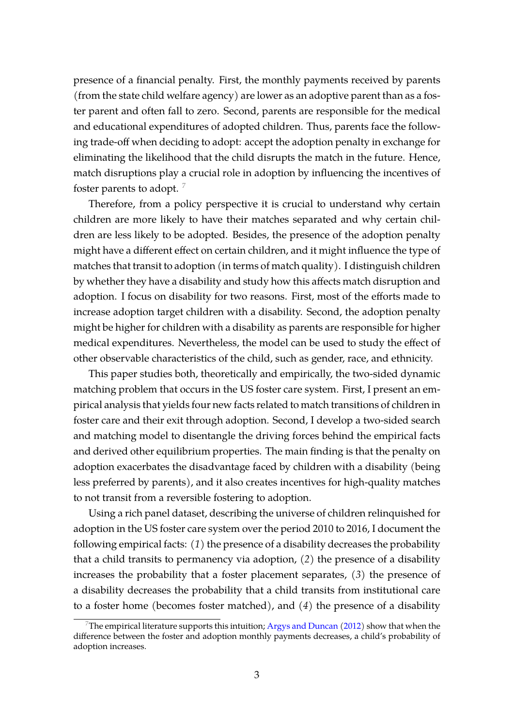presence of a financial penalty. First, the monthly payments received by parents (from the state child welfare agency) are lower as an adoptive parent than as a foster parent and often fall to zero. Second, parents are responsible for the medical and educational expenditures of adopted children. Thus, parents face the following trade-off when deciding to adopt: accept the adoption penalty in exchange for eliminating the likelihood that the child disrupts the match in the future. Hence, match disruptions play a crucial role in adoption by influencing the incentives of foster parents to adopt.  $\frac{7}{2}$  $\frac{7}{2}$  $\frac{7}{2}$ 

Therefore, from a policy perspective it is crucial to understand why certain children are more likely to have their matches separated and why certain children are less likely to be adopted. Besides, the presence of the adoption penalty might have a different effect on certain children, and it might influence the type of matches that transit to adoption (in terms of match quality). I distinguish children by whether they have a disability and study how this affects match disruption and adoption. I focus on disability for two reasons. First, most of the efforts made to increase adoption target children with a disability. Second, the adoption penalty might be higher for children with a disability as parents are responsible for higher medical expenditures. Nevertheless, the model can be used to study the effect of other observable characteristics of the child, such as gender, race, and ethnicity.

This paper studies both, theoretically and empirically, the two-sided dynamic matching problem that occurs in the US foster care system. First, I present an empirical analysis that yields four new facts related to match transitions of children in foster care and their exit through adoption. Second, I develop a two-sided search and matching model to disentangle the driving forces behind the empirical facts and derived other equilibrium properties. The main finding is that the penalty on adoption exacerbates the disadvantage faced by children with a disability (being less preferred by parents), and it also creates incentives for high-quality matches to not transit from a reversible fostering to adoption.

Using a rich panel dataset, describing the universe of children relinquished for adoption in the US foster care system over the period 2010 to 2016, I document the following empirical facts: *(1)* the presence of a disability decreases the probability that a child transits to permanency via adoption, *(2)* the presence of a disability increases the probability that a foster placement separates, *(3)* the presence of a disability decreases the probability that a child transits from institutional care to a foster home (becomes foster matched), and *(4)* the presence of a disability

<span id="page-2-0"></span>The empirical literature supports this intuition; [Argys and Duncan](#page-27-0) [\(2012\)](#page-27-0) show that when the difference between the foster and adoption monthly payments decreases, a child's probability of adoption increases.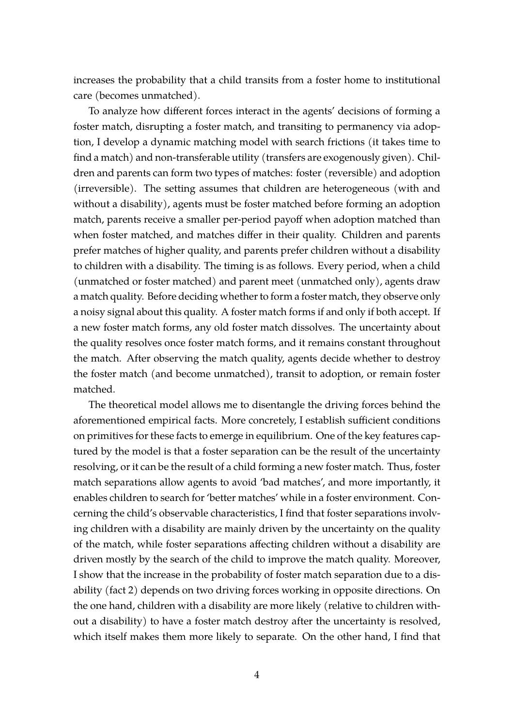increases the probability that a child transits from a foster home to institutional care (becomes unmatched).

To analyze how different forces interact in the agents' decisions of forming a foster match, disrupting a foster match, and transiting to permanency via adoption, I develop a dynamic matching model with search frictions (it takes time to find a match) and non-transferable utility (transfers are exogenously given). Children and parents can form two types of matches: foster (reversible) and adoption (irreversible). The setting assumes that children are heterogeneous (with and without a disability), agents must be foster matched before forming an adoption match, parents receive a smaller per-period payoff when adoption matched than when foster matched, and matches differ in their quality. Children and parents prefer matches of higher quality, and parents prefer children without a disability to children with a disability. The timing is as follows. Every period, when a child (unmatched or foster matched) and parent meet (unmatched only), agents draw a match quality. Before deciding whether to form a foster match, they observe only a noisy signal about this quality. A foster match forms if and only if both accept. If a new foster match forms, any old foster match dissolves. The uncertainty about the quality resolves once foster match forms, and it remains constant throughout the match. After observing the match quality, agents decide whether to destroy the foster match (and become unmatched), transit to adoption, or remain foster matched.

The theoretical model allows me to disentangle the driving forces behind the aforementioned empirical facts. More concretely, I establish sufficient conditions on primitives for these facts to emerge in equilibrium. One of the key features captured by the model is that a foster separation can be the result of the uncertainty resolving, or it can be the result of a child forming a new foster match. Thus, foster match separations allow agents to avoid 'bad matches', and more importantly, it enables children to search for 'better matches' while in a foster environment. Concerning the child's observable characteristics, I find that foster separations involving children with a disability are mainly driven by the uncertainty on the quality of the match, while foster separations affecting children without a disability are driven mostly by the search of the child to improve the match quality. Moreover, I show that the increase in the probability of foster match separation due to a disability (fact 2) depends on two driving forces working in opposite directions. On the one hand, children with a disability are more likely (relative to children without a disability) to have a foster match destroy after the uncertainty is resolved, which itself makes them more likely to separate. On the other hand, I find that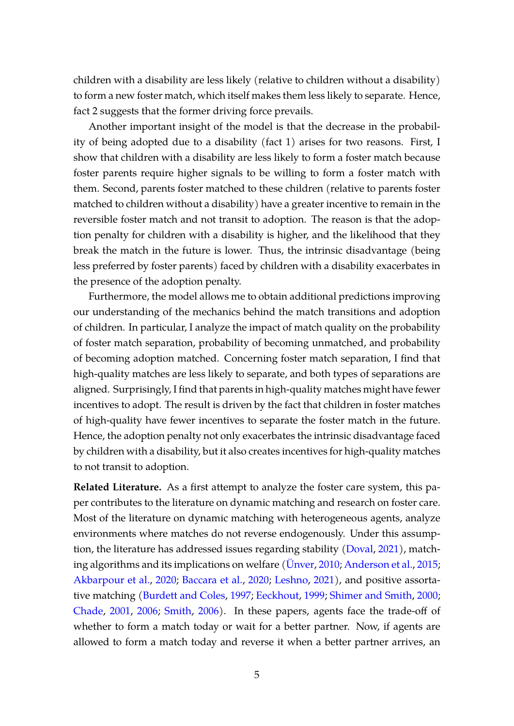children with a disability are less likely (relative to children without a disability) to form a new foster match, which itself makes them less likely to separate. Hence, fact 2 suggests that the former driving force prevails.

Another important insight of the model is that the decrease in the probability of being adopted due to a disability (fact 1) arises for two reasons. First, I show that children with a disability are less likely to form a foster match because foster parents require higher signals to be willing to form a foster match with them. Second, parents foster matched to these children (relative to parents foster matched to children without a disability) have a greater incentive to remain in the reversible foster match and not transit to adoption. The reason is that the adoption penalty for children with a disability is higher, and the likelihood that they break the match in the future is lower. Thus, the intrinsic disadvantage (being less preferred by foster parents) faced by children with a disability exacerbates in the presence of the adoption penalty.

Furthermore, the model allows me to obtain additional predictions improving our understanding of the mechanics behind the match transitions and adoption of children. In particular, I analyze the impact of match quality on the probability of foster match separation, probability of becoming unmatched, and probability of becoming adoption matched. Concerning foster match separation, I find that high-quality matches are less likely to separate, and both types of separations are aligned. Surprisingly, I find that parents in high-quality matches might have fewer incentives to adopt. The result is driven by the fact that children in foster matches of high-quality have fewer incentives to separate the foster match in the future. Hence, the adoption penalty not only exacerbates the intrinsic disadvantage faced by children with a disability, but it also creates incentives for high-quality matches to not transit to adoption.

**Related Literature.** As a first attempt to analyze the foster care system, this paper contributes to the literature on dynamic matching and research on foster care. Most of the literature on dynamic matching with heterogeneous agents, analyze environments where matches do not reverse endogenously. Under this assumption, the literature has addressed issues regarding stability [\(Doval,](#page-28-0) [2021\)](#page-28-0), match-ing algorithms and its implications on welfare [\(Unver](#page-29-0), [2010;](#page-29-0) [Anderson et al.,](#page-27-1) [2015;](#page-27-1) [Akbarpour et al.,](#page-27-2) [2020;](#page-27-2) [Baccara et al.,](#page-27-3) [2020;](#page-27-3) [Leshno,](#page-28-1) [2021\)](#page-28-1), and positive assortative matching [\(Burdett and Coles,](#page-28-2) [1997;](#page-28-2) [Eeckhout,](#page-28-3) [1999;](#page-28-3) [Shimer and Smith,](#page-29-1) [2000;](#page-29-1) [Chade,](#page-28-4) [2001,](#page-28-4) [2006;](#page-28-5) [Smith,](#page-29-2) [2006\)](#page-29-2). In these papers, agents face the trade-off of whether to form a match today or wait for a better partner. Now, if agents are allowed to form a match today and reverse it when a better partner arrives, an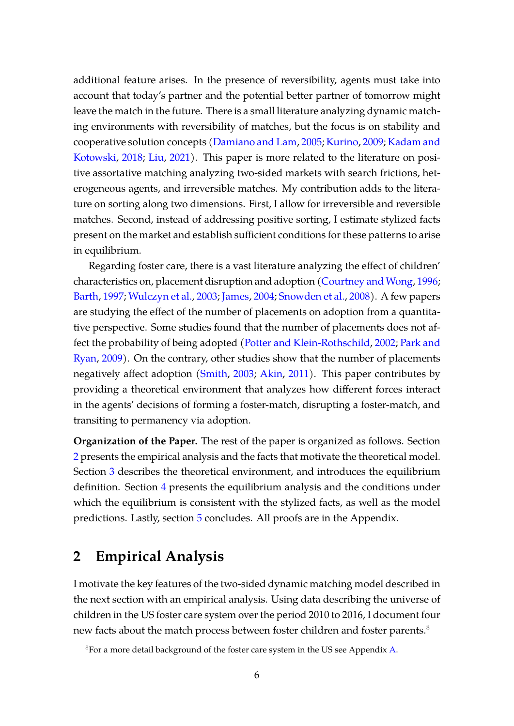additional feature arises. In the presence of reversibility, agents must take into account that today's partner and the potential better partner of tomorrow might leave the match in the future. There is a small literature analyzing dynamic matching environments with reversibility of matches, but the focus is on stability and cooperative solution concepts [\(Damiano and Lam,](#page-28-6) [2005;](#page-28-6) [Kurino,](#page-28-7) [2009;](#page-28-7) [Kadam and](#page-28-8) [Kotowski,](#page-28-8) [2018;](#page-28-8) [Liu,](#page-28-9) [2021\)](#page-28-9). This paper is more related to the literature on positive assortative matching analyzing two-sided markets with search frictions, heterogeneous agents, and irreversible matches. My contribution adds to the literature on sorting along two dimensions. First, I allow for irreversible and reversible matches. Second, instead of addressing positive sorting, I estimate stylized facts present on the market and establish sufficient conditions for these patterns to arise in equilibrium.

Regarding foster care, there is a vast literature analyzing the effect of children' characteristics on, placement disruption and adoption [\(Courtney and Wong,](#page-28-10) [1996;](#page-28-10) [Barth,](#page-27-4) [1997;](#page-27-4) [Wulczyn et al.,](#page-30-0) [2003;](#page-30-0) [James,](#page-28-11) [2004;](#page-28-11) [Snowden et al.,](#page-29-3) [2008\)](#page-29-3). A few papers are studying the effect of the number of placements on adoption from a quantitative perspective. Some studies found that the number of placements does not affect the probability of being adopted [\(Potter and Klein-Rothschild,](#page-29-4) [2002;](#page-29-4) [Park and](#page-29-5) [Ryan,](#page-29-5) [2009\)](#page-29-5). On the contrary, other studies show that the number of placements negatively affect adoption [\(Smith,](#page-29-6) [2003;](#page-29-6) [Akin,](#page-27-5) [2011\)](#page-27-5). This paper contributes by providing a theoretical environment that analyzes how different forces interact in the agents' decisions of forming a foster-match, disrupting a foster-match, and transiting to permanency via adoption.

**Organization of the Paper.** The rest of the paper is organized as follows. Section [2](#page-5-0) presents the empirical analysis and the facts that motivate the theoretical model. Section [3](#page-11-0) describes the theoretical environment, and introduces the equilibrium definition. Section [4](#page-19-0) presents the equilibrium analysis and the conditions under which the equilibrium is consistent with the stylized facts, as well as the model predictions. Lastly, section [5](#page-26-0) concludes. All proofs are in the Appendix.

# <span id="page-5-0"></span>**2 Empirical Analysis**

I motivate the key features of the two-sided dynamic matching model described in the next section with an empirical analysis. Using data describing the universe of children in the US foster care system over the period 2010 to 2016, I document four new facts about the match process between foster children and foster parents.<sup>[8](#page-5-1)</sup>

<span id="page-5-1"></span><sup>&</sup>lt;sup>8</sup>For a more detail background of the foster care system in the US see Appendix [A.](#page-31-0)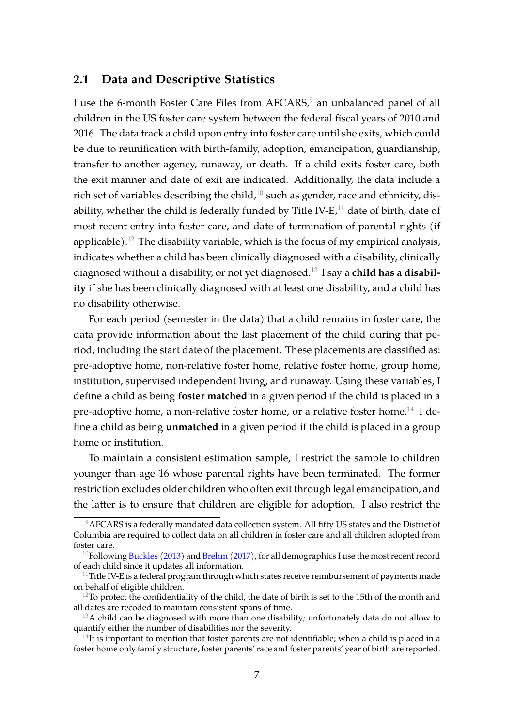### **2.1 Data and Descriptive Statistics**

I use the 6-month Foster Care Files from AFCARS,<sup>[9](#page-6-0)</sup> an unbalanced panel of all children in the US foster care system between the federal fiscal years of 2010 and 2016. The data track a child upon entry into foster care until she exits, which could be due to reunification with birth-family, adoption, emancipation, guardianship, transfer to another agency, runaway, or death. If a child exits foster care, both the exit manner and date of exit are indicated. Additionally, the data include a rich set of variables describing the child, $10$  such as gender, race and ethnicity, disability, whether the child is federally funded by Title IV-E $,11$  $,11$  date of birth, date of most recent entry into foster care, and date of termination of parental rights (if applicable).<sup>[12](#page-6-3)</sup> The disability variable, which is the focus of my empirical analysis, indicates whether a child has been clinically diagnosed with a disability, clinically diagnosed without a disability, or not yet diagnosed.[13](#page-6-4) I say a **child has a disability** if she has been clinically diagnosed with at least one disability, and a child has no disability otherwise.

For each period (semester in the data) that a child remains in foster care, the data provide information about the last placement of the child during that period, including the start date of the placement. These placements are classified as: pre-adoptive home, non-relative foster home, relative foster home, group home, institution, supervised independent living, and runaway. Using these variables, I define a child as being **foster matched** in a given period if the child is placed in a pre-adoptive home, a non-relative foster home, or a relative foster home.<sup>[14](#page-6-5)</sup> I define a child as being **unmatched** in a given period if the child is placed in a group home or institution.

To maintain a consistent estimation sample, I restrict the sample to children younger than age 16 whose parental rights have been terminated. The former restriction excludes older children who often exit through legal emancipation, and the latter is to ensure that children are eligible for adoption. I also restrict the

<span id="page-6-0"></span> $9AFCARS$  is a federally mandated data collection system. All fifty US states and the District of Columbia are required to collect data on all children in foster care and all children adopted from foster care.

<span id="page-6-1"></span> $^{10}$ Following [Buckles](#page-27-6) [\(2013\)](#page-27-6) and [Brehm](#page-27-7) [\(2017\)](#page-27-7), for all demographics I use the most recent record of each child since it updates all information.

<span id="page-6-2"></span> $11$ Title IV-E is a federal program through which states receive reimbursement of payments made on behalf of eligible children.

<span id="page-6-3"></span> $12$ To protect the confidentiality of the child, the date of birth is set to the 15th of the month and all dates are recoded to maintain consistent spans of time.

<span id="page-6-4"></span> $13A$  child can be diagnosed with more than one disability; unfortunately data do not allow to quantify either the number of disabilities nor the severity.

<span id="page-6-5"></span> $14$ It is important to mention that foster parents are not identifiable; when a child is placed in a foster home only family structure, foster parents' race and foster parents' year of birth are reported.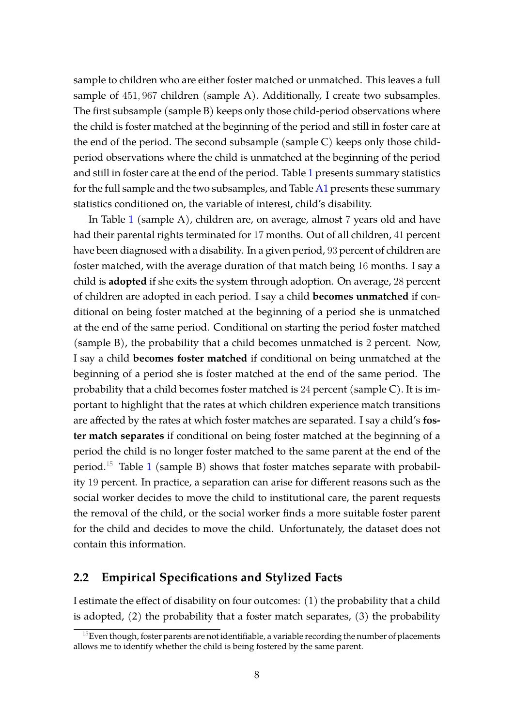sample to children who are either foster matched or unmatched. This leaves a full sample of 451, 967 children (sample A). Additionally, I create two subsamples. The first subsample (sample B) keeps only those child-period observations where the child is foster matched at the beginning of the period and still in foster care at the end of the period. The second subsample (sample C) keeps only those childperiod observations where the child is unmatched at the beginning of the period and still in foster care at the end of the period. Table [1](#page-8-0) presents summary statistics for the full sample and the two subsamples, and Table  $A1$  presents these summary statistics conditioned on, the variable of interest, child's disability.

In Table [1](#page-8-0) (sample A), children are, on average, almost 7 years old and have had their parental rights terminated for 17 months. Out of all children, 41 percent have been diagnosed with a disability. In a given period, 93 percent of children are foster matched, with the average duration of that match being 16 months. I say a child is **adopted** if she exits the system through adoption. On average, 28 percent of children are adopted in each period. I say a child **becomes unmatched** if conditional on being foster matched at the beginning of a period she is unmatched at the end of the same period. Conditional on starting the period foster matched (sample B), the probability that a child becomes unmatched is 2 percent. Now, I say a child **becomes foster matched** if conditional on being unmatched at the beginning of a period she is foster matched at the end of the same period. The probability that a child becomes foster matched is 24 percent (sample C). It is important to highlight that the rates at which children experience match transitions are affected by the rates at which foster matches are separated. I say a child's **foster match separates** if conditional on being foster matched at the beginning of a period the child is no longer foster matched to the same parent at the end of the period.[15](#page-7-0) Table [1](#page-8-0) (sample B) shows that foster matches separate with probability 19 percent. In practice, a separation can arise for different reasons such as the social worker decides to move the child to institutional care, the parent requests the removal of the child, or the social worker finds a more suitable foster parent for the child and decides to move the child. Unfortunately, the dataset does not contain this information.

### **2.2 Empirical Specifications and Stylized Facts**

I estimate the effect of disability on four outcomes: (1) the probability that a child is adopted, (2) the probability that a foster match separates, (3) the probability

<span id="page-7-0"></span> $^{15}$ Even though, foster parents are not identifiable, a variable recording the number of placements allows me to identify whether the child is being fostered by the same parent.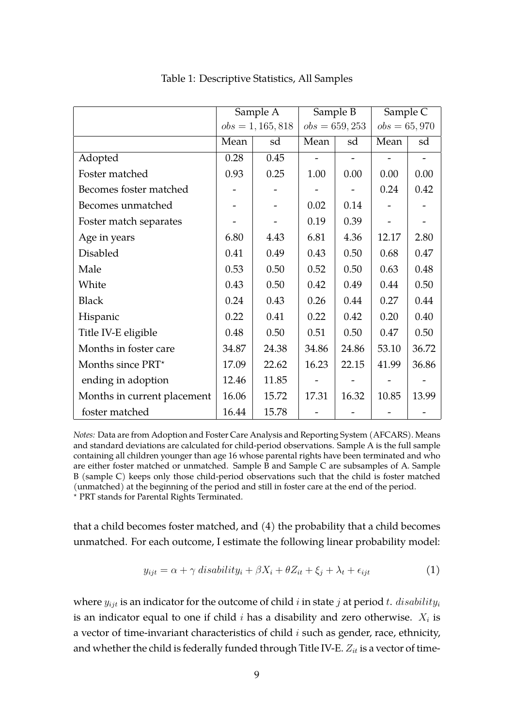<span id="page-8-0"></span>

|                             | Sample A            |       | Sample B         |       | Sample C       |       |
|-----------------------------|---------------------|-------|------------------|-------|----------------|-------|
|                             | $obs = 1, 165, 818$ |       | $obs = 659, 253$ |       | $obs = 65,970$ |       |
|                             | Mean                | sd    | Mean             | sd    | Mean           | sd    |
| Adopted                     | 0.28                | 0.45  |                  |       |                |       |
| Foster matched              | 0.93                | 0.25  | 1.00             | 0.00  | 0.00           | 0.00  |
| Becomes foster matched      |                     |       |                  |       | 0.24           | 0.42  |
| Becomes unmatched           |                     |       | 0.02             | 0.14  |                |       |
| Foster match separates      |                     |       | 0.19             | 0.39  |                |       |
| Age in years                | 6.80                | 4.43  | 6.81             | 4.36  | 12.17          | 2.80  |
| <b>Disabled</b>             | 0.41                | 0.49  | 0.43             | 0.50  | 0.68           | 0.47  |
| Male                        | 0.53                | 0.50  | 0.52             | 0.50  | 0.63           | 0.48  |
| White                       | 0.43                | 0.50  | 0.42             | 0.49  | 0.44           | 0.50  |
| <b>Black</b>                | 0.24                | 0.43  | 0.26             | 0.44  | 0.27           | 0.44  |
| Hispanic                    | 0.22                | 0.41  | 0.22             | 0.42  | 0.20           | 0.40  |
| Title IV-E eligible         | 0.48                | 0.50  | 0.51             | 0.50  | 0.47           | 0.50  |
| Months in foster care       | 34.87               | 24.38 | 34.86            | 24.86 | 53.10          | 36.72 |
| Months since PRT*           | 17.09               | 22.62 | 16.23            | 22.15 | 41.99          | 36.86 |
| ending in adoption          | 12.46               | 11.85 |                  |       |                |       |
| Months in current placement | 16.06               | 15.72 | 17.31            | 16.32 | 10.85          | 13.99 |
| foster matched              | 16.44               | 15.78 |                  |       |                |       |

Table 1: Descriptive Statistics, All Samples

*Notes:* Data are from Adoption and Foster Care Analysis and Reporting System (AFCARS). Means and standard deviations are calculated for child-period observations. Sample A is the full sample containing all children younger than age 16 whose parental rights have been terminated and who are either foster matched or unmatched. Sample B and Sample C are subsamples of A. Sample B (sample C) keeps only those child-period observations such that the child is foster matched (unmatched) at the beginning of the period and still in foster care at the end of the period. ? PRT stands for Parental Rights Terminated.

that a child becomes foster matched, and (4) the probability that a child becomes unmatched. For each outcome, I estimate the following linear probability model:

<span id="page-8-1"></span>
$$
y_{ijt} = \alpha + \gamma \; disability_i + \beta X_i + \theta Z_{it} + \xi_j + \lambda_t + \epsilon_{ijt} \tag{1}
$$

where  $y_{ijt}$  is an indicator for the outcome of child i in state j at period t.  $disability_i$ is an indicator equal to one if child  $i$  has a disability and zero otherwise.  $X_i$  is a vector of time-invariant characteristics of child  $i$  such as gender, race, ethnicity, and whether the child is federally funded through Title IV-E.  $Z_{it}$  is a vector of time-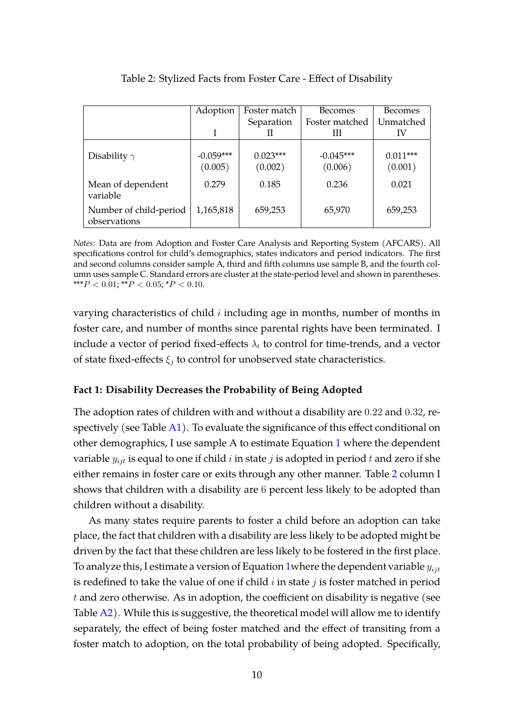<span id="page-9-0"></span>

|                                        | Adoption               | Foster match          | <b>Becomes</b>         | <b>Becomes</b>        |
|----------------------------------------|------------------------|-----------------------|------------------------|-----------------------|
|                                        |                        | Separation            | Foster matched         | Unmatched             |
|                                        |                        | Ш                     | Ш                      | IV                    |
| Disability $\gamma$                    | $-0.059***$<br>(0.005) | $0.023***$<br>(0.002) | $-0.045***$<br>(0.006) | $0.011***$<br>(0.001) |
| Mean of dependent<br>variable          | 0.279                  | 0.185                 | 0.236                  | 0.021                 |
| Number of child-period<br>observations | 1,165,818              | 659,253               | 65,970                 | 659,253               |

Table 2: Stylized Facts from Foster Care - Effect of Disability

*Notes:* Data are from Adoption and Foster Care Analysis and Reporting System (AFCARS). All specifications control for child's demographics, states indicators and period indicators. The first and second columns consider sample A, third and fifth columns use sample B, and the fourth column uses sample C. Standard errors are cluster at the state-period level and shown in parentheses. \*\*\* $P < 0.01$ ; \*\* $P < 0.05$ ; \* $P < 0.10$ .

varying characteristics of child  $i$  including age in months, number of months in foster care, and number of months since parental rights have been terminated. I include a vector of period fixed-effects  $\lambda_t$  to control for time-trends, and a vector of state fixed-effects  $\xi_i$  to control for unobserved state characteristics.

#### **Fact 1: Disability Decreases the Probability of Being Adopted**

The adoption rates of children with and without a disability are 0.22 and 0.32, respectively (see Table  $A1$ ). To evaluate the significance of this effect conditional on other demographics, I use sample A to estimate Equation [1](#page-8-1) where the dependent variable  $y_{ijt}$  is equal to one if child i in state j is adopted in period t and zero if she either remains in foster care or exits through any other manner. Table [2](#page-9-0) column I shows that children with a disability are 6 percent less likely to be adopted than children without a disability.

As many states require parents to foster a child before an adoption can take place, the fact that children with a disability are less likely to be adopted might be driven by the fact that these children are less likely to be fostered in the first place. To analyze this, I estimate a version of Equation 1 where the dependent variable  $y_{ijt}$ is redefined to take the value of one if child  $i$  in state  $j$  is foster matched in period  $t$  and zero otherwise. As in adoption, the coefficient on disability is negative (see Table  $A2$ ). While this is suggestive, the theoretical model will allow me to identify separately, the effect of being foster matched and the effect of transiting from a foster match to adoption, on the total probability of being adopted. Specifically,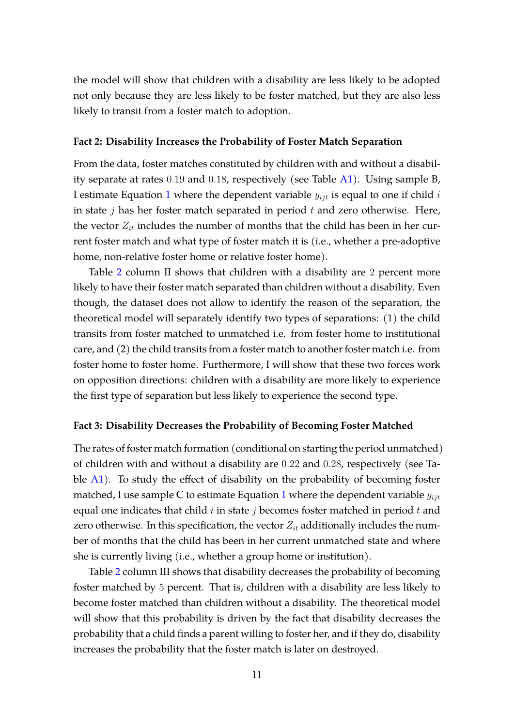the model will show that children with a disability are less likely to be adopted not only because they are less likely to be foster matched, but they are also less likely to transit from a foster match to adoption.

#### **Fact 2: Disability Increases the Probability of Foster Match Separation**

From the data, foster matches constituted by children with and without a disability separate at rates 0.19 and 0.18, respectively (see Table [A1\)](#page-34-0). Using sample B, I estimate Equation [1](#page-8-1) where the dependent variable  $y_{ijt}$  is equal to one if child  $i$ in state  $j$  has her foster match separated in period  $t$  and zero otherwise. Here, the vector  $Z_{it}$  includes the number of months that the child has been in her current foster match and what type of foster match it is (i.e., whether a pre-adoptive home, non-relative foster home or relative foster home).

Table [2](#page-9-0) column II shows that children with a disability are 2 percent more likely to have their foster match separated than children without a disability. Even though, the dataset does not allow to identify the reason of the separation, the theoretical model will separately identify two types of separations: (1) the child transits from foster matched to unmatched i.e. from foster home to institutional care, and (2) the child transits from a foster match to another foster match i.e. from foster home to foster home. Furthermore, I will show that these two forces work on opposition directions: children with a disability are more likely to experience the first type of separation but less likely to experience the second type.

#### **Fact 3: Disability Decreases the Probability of Becoming Foster Matched**

The rates of foster match formation (conditional on starting the period unmatched) of children with and without a disability are 0.22 and 0.28, respectively (see Ta-ble [A1\)](#page-34-0). To study the effect of disability on the probability of becoming foster matched, I use sample C to estimate Equation [1](#page-8-1) where the dependent variable  $y_{ij}$ equal one indicates that child  $i$  in state  $j$  becomes foster matched in period  $t$  and zero otherwise. In this specification, the vector  $Z_{it}$  additionally includes the number of months that the child has been in her current unmatched state and where she is currently living (i.e., whether a group home or institution).

Table [2](#page-9-0) column III shows that disability decreases the probability of becoming foster matched by 5 percent. That is, children with a disability are less likely to become foster matched than children without a disability. The theoretical model will show that this probability is driven by the fact that disability decreases the probability that a child finds a parent willing to foster her, and if they do, disability increases the probability that the foster match is later on destroyed.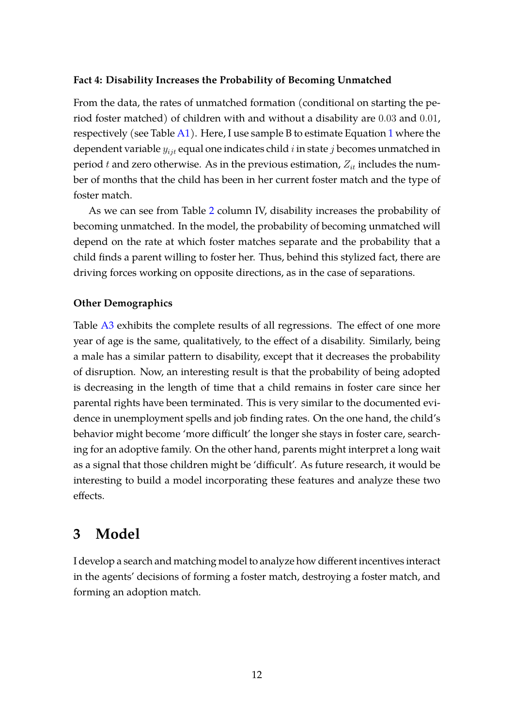#### **Fact 4: Disability Increases the Probability of Becoming Unmatched**

From the data, the rates of unmatched formation (conditional on starting the period foster matched) of children with and without a disability are 0.03 and 0.01, respectively (see Table  $A1$  $A1$ ). Here, I use sample B to estimate Equation 1 where the dependent variable  $y_{i}$ <sub>t</sub> equal one indicates child i in state j becomes unmatched in period t and zero otherwise. As in the previous estimation,  $Z_{it}$  includes the number of months that the child has been in her current foster match and the type of foster match.

As we can see from Table [2](#page-9-0) column IV, disability increases the probability of becoming unmatched. In the model, the probability of becoming unmatched will depend on the rate at which foster matches separate and the probability that a child finds a parent willing to foster her. Thus, behind this stylized fact, there are driving forces working on opposite directions, as in the case of separations.

#### **Other Demographics**

Table [A3](#page-36-0) exhibits the complete results of all regressions. The effect of one more year of age is the same, qualitatively, to the effect of a disability. Similarly, being a male has a similar pattern to disability, except that it decreases the probability of disruption. Now, an interesting result is that the probability of being adopted is decreasing in the length of time that a child remains in foster care since her parental rights have been terminated. This is very similar to the documented evidence in unemployment spells and job finding rates. On the one hand, the child's behavior might become 'more difficult' the longer she stays in foster care, searching for an adoptive family. On the other hand, parents might interpret a long wait as a signal that those children might be 'difficult'. As future research, it would be interesting to build a model incorporating these features and analyze these two effects.

# <span id="page-11-0"></span>**3 Model**

I develop a search and matching model to analyze how different incentives interact in the agents' decisions of forming a foster match, destroying a foster match, and forming an adoption match.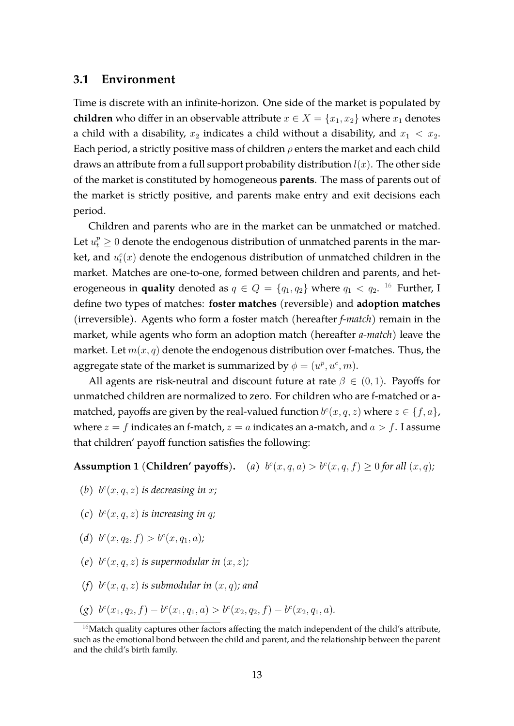#### **3.1 Environment**

Time is discrete with an infinite-horizon. One side of the market is populated by **children** who differ in an observable attribute  $x \in X = \{x_1, x_2\}$  where  $x_1$  denotes a child with a disability,  $x_2$  indicates a child without a disability, and  $x_1 < x_2$ . Each period, a strictly positive mass of children  $\rho$  enters the market and each child draws an attribute from a full support probability distribution  $l(x)$ . The other side of the market is constituted by homogeneous **parents**. The mass of parents out of the market is strictly positive, and parents make entry and exit decisions each period.

Children and parents who are in the market can be unmatched or matched. Let  $u_t^p\geq 0$  denote the endogenous distribution of unmatched parents in the market, and  $u_t^c(x)$  denote the endogenous distribution of unmatched children in the market. Matches are one-to-one, formed between children and parents, and heterogeneous in **quality** denoted as  $q \in Q = \{q_1, q_2\}$  where  $q_1 < q_2$ . <sup>[16](#page-12-0)</sup> Further, I define two types of matches: **foster matches** (reversible) and **adoption matches** (irreversible). Agents who form a foster match (hereafter *f-match*) remain in the market, while agents who form an adoption match (hereafter *a-match*) leave the market. Let  $m(x, q)$  denote the endogenous distribution over f-matches. Thus, the aggregate state of the market is summarized by  $\phi = (u^p, u^c, m)$ .

All agents are risk-neutral and discount future at rate  $\beta \in (0,1)$ . Payoffs for unmatched children are normalized to zero. For children who are f-matched or amatched, payoffs are given by the real-valued function  $b^c(x, q, z)$  where  $z \in \{f, a\}$ , where  $z = f$  indicates an f-match,  $z = a$  indicates an a-match, and  $a > f$ . I assume that children' payoff function satisfies the following:

<span id="page-12-1"></span>**Assumption 1** (**Children' payoffs**). (a)  $b^c(x, q, a) > b^c(x, q, f) \ge 0$  for all  $(x, q)$ ;

- <span id="page-12-2"></span>(b)  $b^c(x, q, z)$  *is decreasing in x*;
- <span id="page-12-3"></span>(c)  $b^c(x, q, z)$  *is increasing in q*;
- <span id="page-12-4"></span>(*d*)  $b^c(x, q_2, f) > b^c(x, q_1, a)$ ;
- <span id="page-12-5"></span>(e)  $b^c(x, q, z)$  *is supermodular in*  $(x, z)$ *;*
- <span id="page-12-6"></span>(f)  $b^c(x, q, z)$  *is submodular in*  $(x, q)$ *; and*
- <span id="page-12-7"></span> $(g)$   $b^{c}(x_1, q_2, f) - b^{c}(x_1, q_1, a) > b^{c}(x_2, q_2, f) - b^{c}(x_2, q_1, a).$

<span id="page-12-0"></span> $16$ Match quality captures other factors affecting the match independent of the child's attribute, such as the emotional bond between the child and parent, and the relationship between the parent and the child's birth family.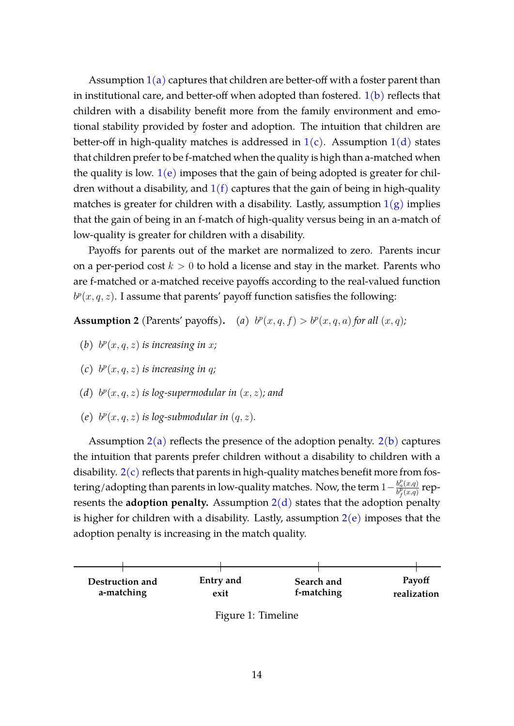Assumption  $1(a)$  $1(a)$  captures that children are better-off with a foster parent than in institutional care, and better-off when adopted than fostered.  $1(b)$  $1(b)$  reflects that children with a disability benefit more from the family environment and emotional stability provided by foster and adoption. The intuition that children are better-off in high-quality matches is addressed in  $1(c)$  $1(c)$ . Assumption  $1(d)$  $1(d)$  states that children prefer to be f-matched when the quality is high than a-matched when the quality is low.  $1(e)$  $1(e)$  imposes that the gain of being adopted is greater for children without a disability, and  $1(f)$  $1(f)$  captures that the gain of being in high-quality matches is greater for children with a disability. Lastly, assumption  $1(g)$  $1(g)$  implies that the gain of being in an f-match of high-quality versus being in an a-match of low-quality is greater for children with a disability.

Payoffs for parents out of the market are normalized to zero. Parents incur on a per-period cost  $k > 0$  to hold a license and stay in the market. Parents who are f-matched or a-matched receive payoffs according to the real-valued function  $b^p(x, q, z)$ . I assume that parents' payoff function satisfies the following:

<span id="page-13-0"></span>**Assumption 2** (Parents' payoffs). (a)  $b^p(x, q, f) > b^p(x, q, a)$  for all  $(x, q)$ ;

- <span id="page-13-1"></span>(b)  $b^p(x, q, z)$  *is increasing in x*;
- <span id="page-13-2"></span>(c)  $b^p(x, q, z)$  *is increasing in q*;
- <span id="page-13-3"></span>(*d*)  $b^p(x, q, z)$  *is log-supermodular in*  $(x, z)$ *; and*
- <span id="page-13-4"></span>(e)  $b^p(x, q, z)$  *is log-submodular in*  $(q, z)$ *.*

Assumption  $2(a)$  $2(a)$  reflects the presence of the adoption penalty.  $2(b)$  $2(b)$  captures the intuition that parents prefer children without a disability to children with a disability.  $2(c)$  $2(c)$  reflects that parents in high-quality matches benefit more from fostering/adopting than parents in low-quality matches. Now, the term  $1-\frac{b_{a}^{p}(x,q)}{b^{p}(x,q)}$  $\frac{b_a^p(x,q)}{b_f^p(x,q)}$  represents the **adoption penalty.** Assumption  $2(d)$  $2(d)$  states that the adoption penalty is higher for children with a disability. Lastly, assumption  $2(e)$  $2(e)$  imposes that the adoption penalty is increasing in the match quality.

<span id="page-13-5"></span>

Figure 1: Timeline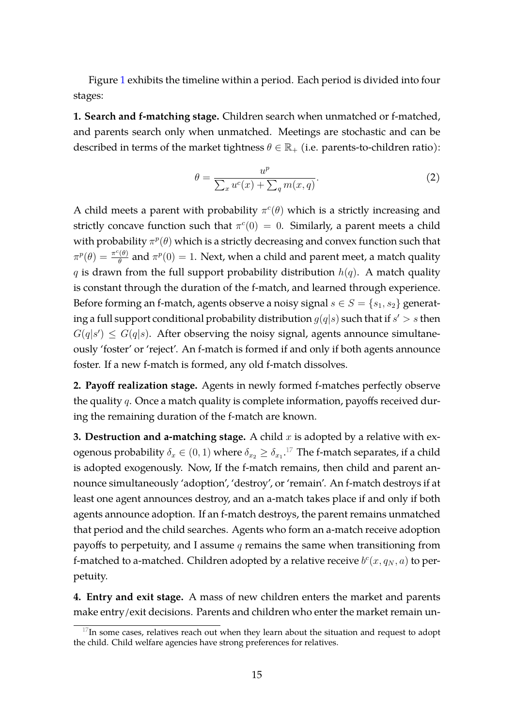Figure [1](#page-13-5) exhibits the timeline within a period. Each period is divided into four stages:

**1. Search and f-matching stage.** Children search when unmatched or f-matched, and parents search only when unmatched. Meetings are stochastic and can be described in terms of the market tightness  $\theta \in \mathbb{R}_+$  (i.e. parents-to-children ratio):

$$
\theta = \frac{u^p}{\sum_x u^c(x) + \sum_q m(x, q)}.\tag{2}
$$

A child meets a parent with probability  $\pi^c(\theta)$  which is a strictly increasing and strictly concave function such that  $\pi^c(0) = 0$ . Similarly, a parent meets a child with probability  $\pi^p(\theta)$  which is a strictly decreasing and convex function such that  $\pi^p(\theta) = \frac{\pi^c(\theta)}{\theta}$  $\frac{\partial \phi}{\partial \theta}$  and  $\pi^p(0)=1$ . Next, when a child and parent meet, a match quality q is drawn from the full support probability distribution  $h(q)$ . A match quality is constant through the duration of the f-match, and learned through experience. Before forming an f-match, agents observe a noisy signal  $s \in S = \{s_1, s_2\}$  generating a full support conditional probability distribution  $g(q|s)$  such that if  $s' > s$  then  $G(q|s') \leq G(q|s)$ . After observing the noisy signal, agents announce simultaneously 'foster' or 'reject'. An f-match is formed if and only if both agents announce foster. If a new f-match is formed, any old f-match dissolves.

**2. Payoff realization stage.** Agents in newly formed f-matches perfectly observe the quality  $q$ . Once a match quality is complete information, payoffs received during the remaining duration of the f-match are known.

**3. Destruction and a-matching stage.** A child  $x$  is adopted by a relative with exogenous probability  $\delta_x \in (0,1)$  where  $\delta_{x_2} \geq \delta_{x_1}.^{17}$  $\delta_{x_2} \geq \delta_{x_1}.^{17}$  $\delta_{x_2} \geq \delta_{x_1}.^{17}$  The f-match separates, if a child is adopted exogenously. Now, If the f-match remains, then child and parent announce simultaneously 'adoption', 'destroy', or 'remain'. An f-match destroys if at least one agent announces destroy, and an a-match takes place if and only if both agents announce adoption. If an f-match destroys, the parent remains unmatched that period and the child searches. Agents who form an a-match receive adoption payoffs to perpetuity, and I assume  $q$  remains the same when transitioning from f-matched to a-matched. Children adopted by a relative receive  $b^c(x,q_N,a)$  to perpetuity.

**4. Entry and exit stage.** A mass of new children enters the market and parents make entry/exit decisions. Parents and children who enter the market remain un-

<span id="page-14-0"></span> $17$ In some cases, relatives reach out when they learn about the situation and request to adopt the child. Child welfare agencies have strong preferences for relatives.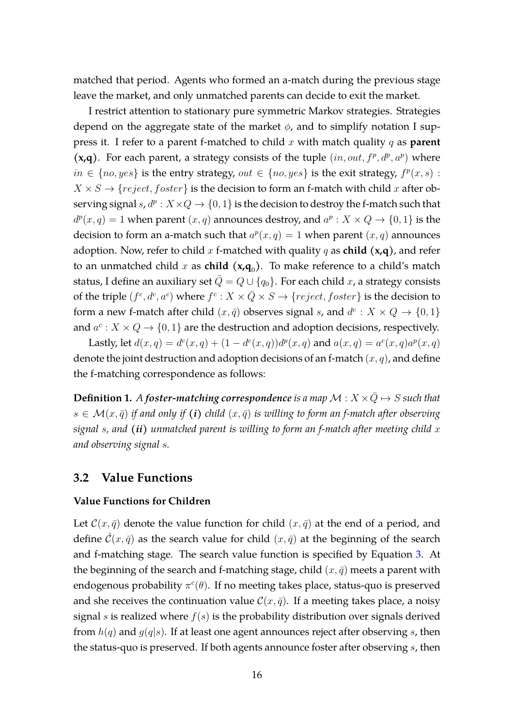matched that period. Agents who formed an a-match during the previous stage leave the market, and only unmatched parents can decide to exit the market.

I restrict attention to stationary pure symmetric Markov strategies. Strategies depend on the aggregate state of the market  $\phi$ , and to simplify notation I suppress it. I refer to a parent f-matched to child x with match quality q as **parent**  $(x,q)$ . For each parent, a strategy consists of the tuple  $(in,out, f<sup>p</sup>, d<sup>p</sup>, a<sup>p</sup>)$  where  $in \ \{no, yes\}$  is the entry strategy,  $out \in \{no, yes\}$  is the exit strategy,  $f^p(x, s)$ :  $X \times S \rightarrow \{reject, foster\}$  is the decision to form an f-match with child x after observing signal  $s, d^p: X \times Q \to \{0, 1\}$  is the decision to destroy the f-match such that  $d^p(x,q) = 1$  when parent  $(x,q)$  announces destroy, and  $a^p : X \times Q \rightarrow \{0,1\}$  is the decision to form an a-match such that  $a^p(x,q) = 1$  when parent  $(x,q)$  announces adoption. Now, refer to child x f-matched with quality q as child  $(x,q)$ , and refer to an unmatched child x as **child**  $(x,q_0)$ . To make reference to a child's match status, I define an auxiliary set  $\overline{Q} = Q \cup \{q_0\}$ . For each child x, a strategy consists of the triple  $(f^c, d^c, a^c)$  where  $f^c: X \times \bar{Q} \times S \to \{reject, foster\}$  is the decision to form a new f-match after child  $(x, \bar{q})$  observes signal s, and  $d^c: X \times Q \rightarrow \{0, 1\}$ and  $a^c: X \times Q \rightarrow \{0, 1\}$  are the destruction and adoption decisions, respectively.

Lastly, let  $d(x, q) = d^c(x, q) + (1 - d^c(x, q))d^p(x, q)$  and  $a(x, q) = a^c(x, q)a^p(x, q)$ denote the joint destruction and adoption decisions of an f-match  $(x, q)$ , and define the f-matching correspondence as follows:

**Definition 1.** *A foster-matching correspondence is a map*  $M : X \times \bar{Q} \mapsto S$  *such that*  $s \in \mathcal{M}(x, \bar{q})$  *if and only if (i) child*  $(x, \bar{q})$  *is willing to form an f-match after observing signal* s*, and (ii) unmatched parent is willing to form an f-match after meeting child* x *and observing signal* s*.*

#### **3.2 Value Functions**

#### **Value Functions for Children**

Let  $\mathcal{C}(x, \bar{q})$  denote the value function for child  $(x, \bar{q})$  at the end of a period, and define  $\hat{\mathcal{C}}(x,\bar{q})$  as the search value for child  $(x,\bar{q})$  at the beginning of the search and f-matching stage. The search value function is specified by Equation [3.](#page-16-0) At the beginning of the search and f-matching stage, child  $(x, \bar{q})$  meets a parent with endogenous probability  $\pi^c(\theta)$ . If no meeting takes place, status-quo is preserved and she receives the continuation value  $\mathcal{C}(x, \bar{q})$ . If a meeting takes place, a noisy signal s is realized where  $f(s)$  is the probability distribution over signals derived from  $h(q)$  and  $g(q|s)$ . If at least one agent announces reject after observing s, then the status-quo is preserved. If both agents announce foster after observing  $s$ , then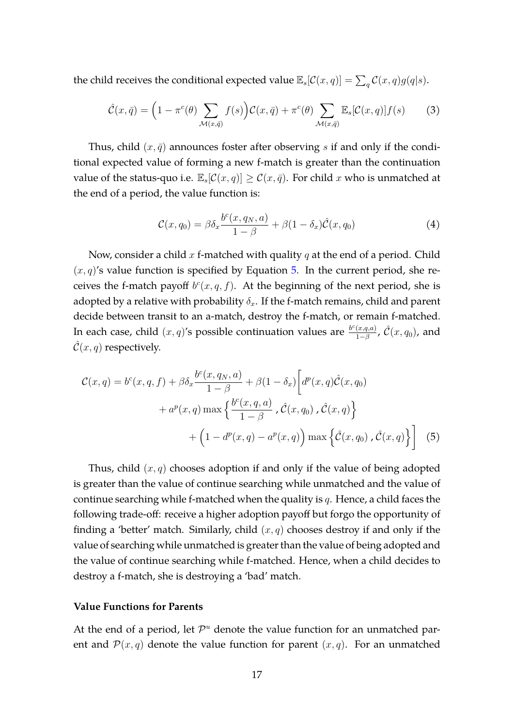the child receives the conditional expected value  $\mathbb{E}_s[\mathcal{C}(x,q)] = \sum_q \mathcal{C}(x,q)g(q|s)$ .

<span id="page-16-0"></span>
$$
\hat{\mathcal{C}}(x,\bar{q}) = \left(1 - \pi^c(\theta) \sum_{\mathcal{M}(x,\bar{q})} f(s)\right) \mathcal{C}(x,\bar{q}) + \pi^c(\theta) \sum_{\mathcal{M}(x,\bar{q})} \mathbb{E}_s[\mathcal{C}(x,q)] f(s) \tag{3}
$$

Thus, child  $(x, \bar{q})$  announces foster after observing s if and only if the conditional expected value of forming a new f-match is greater than the continuation value of the status-quo i.e.  $\mathbb{E}_s[\mathcal{C}(x,q)] \geq \mathcal{C}(x,\bar{q})$ . For child x who is unmatched at the end of a period, the value function is:

<span id="page-16-2"></span><span id="page-16-1"></span>
$$
\mathcal{C}(x,q_0) = \beta \delta_x \frac{b^c(x,q_N,a)}{1-\beta} + \beta(1-\delta_x)\hat{\mathcal{C}}(x,q_0)
$$
\n(4)

Now, consider a child  $x$  f-matched with quality  $q$  at the end of a period. Child  $(x, q)$ 's value function is specified by Equation [5.](#page-16-1) In the current period, she receives the f-match payoff  $b^c(x, q, f)$ . At the beginning of the next period, she is adopted by a relative with probability  $\delta_x$ . If the f-match remains, child and parent decide between transit to an a-match, destroy the f-match, or remain f-matched. In each case, child  $(x, q)$ 's possible continuation values are  $\frac{b^c(x,q,a)}{1-\beta}$  $\frac{(x,q,a)}{1-\beta}$ ,  $\hat{\mathcal{C}}(x,q_0)$ , and  $\mathcal{C}(x,q)$  respectively.

$$
\mathcal{C}(x,q) = b^{c}(x,q,f) + \beta \delta_{x} \frac{b^{c}(x,q_{N},a)}{1-\beta} + \beta (1-\delta_{x}) \left[ d^{p}(x,q) \hat{\mathcal{C}}(x,q_{0}) + a^{p}(x,q) \max \left\{ \frac{b^{c}(x,q,a)}{1-\beta}, \hat{\mathcal{C}}(x,q_{0}), \hat{\mathcal{C}}(x,q) \right\} + \left( 1 - d^{p}(x,q) - a^{p}(x,q) \right) \max \left\{ \hat{\mathcal{C}}(x,q_{0}), \hat{\mathcal{C}}(x,q) \right\} \right] \tag{5}
$$

Thus, child  $(x, q)$  chooses adoption if and only if the value of being adopted is greater than the value of continue searching while unmatched and the value of continue searching while f-matched when the quality is  $q$ . Hence, a child faces the following trade-off: receive a higher adoption payoff but forgo the opportunity of finding a 'better' match. Similarly, child  $(x, q)$  chooses destroy if and only if the value of searching while unmatched is greater than the value of being adopted and the value of continue searching while f-matched. Hence, when a child decides to destroy a f-match, she is destroying a 'bad' match.

### **Value Functions for Parents**

At the end of a period, let  $\mathcal{P}^u$  denote the value function for an unmatched parent and  $\mathcal{P}(x, q)$  denote the value function for parent  $(x, q)$ . For an unmatched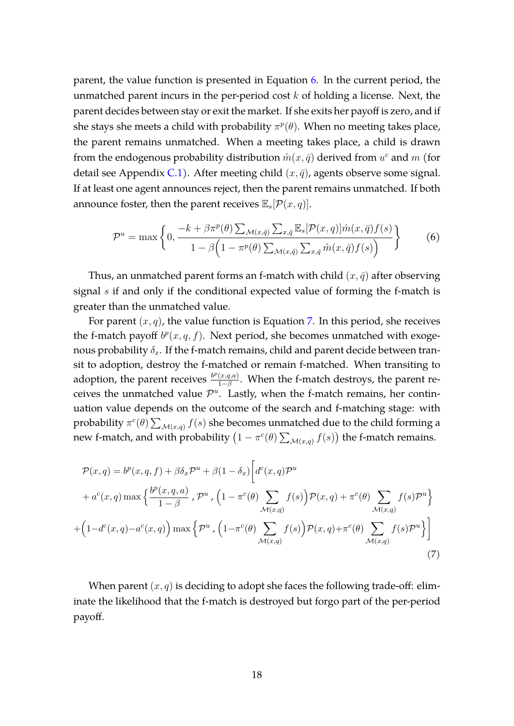parent, the value function is presented in Equation [6.](#page-17-0) In the current period, the unmatched parent incurs in the per-period cost  $k$  of holding a license. Next, the parent decides between stay or exit the market. If she exits her payoff is zero, and if she stays she meets a child with probability  $\pi^p(\theta)$ . When no meeting takes place, the parent remains unmatched. When a meeting takes place, a child is drawn from the endogenous probability distribution  $\hat{m}(x, \bar{q})$  derived from  $u^c$  and  $m$  (for detail see Appendix [C.1\)](#page-37-0). After meeting child  $(x, \bar{q})$ , agents observe some signal. If at least one agent announces reject, then the parent remains unmatched. If both announce foster, then the parent receives  $\mathbb{E}_s[\mathcal{P}(x, q)]$ .

<span id="page-17-0"></span>
$$
\mathcal{P}^{u} = \max \left\{ 0, \frac{-k + \beta \pi^{p}(\theta) \sum_{\mathcal{M}(x,\bar{q})} \sum_{x,\bar{q}} \mathbb{E}_{s} [\mathcal{P}(x,q)] \hat{m}(x,\bar{q}) f(s)}{1 - \beta \left( 1 - \pi^{p}(\theta) \sum_{\mathcal{M}(x,\bar{q})} \sum_{x,\bar{q}} \hat{m}(x,\bar{q}) f(s) \right)} \right\}
$$
(6)

Thus, an unmatched parent forms an f-match with child  $(x, \bar{q})$  after observing signal  $s$  if and only if the conditional expected value of forming the f-match is greater than the unmatched value.

For parent  $(x, q)$ , the value function is Equation [7.](#page-17-1) In this period, she receives the f-match payoff  $b^p(x, q, f)$ . Next period, she becomes unmatched with exogenous probability  $\delta_x$ . If the f-match remains, child and parent decide between transit to adoption, destroy the f-matched or remain f-matched. When transiting to adoption, the parent receives  $\frac{b^p(x,q,a)}{q}$  $\frac{(x,q,a)}{1-\beta}$ . When the f-match destroys, the parent receives the unmatched value  $\mathcal{P}^u$ . Lastly, when the f-match remains, her continuation value depends on the outcome of the search and f-matching stage: with probability  $\pi^c(\theta) \sum_{\mathcal{M}(x,q)} f(s)$  she becomes unmatched due to the child forming a new f-match, and with probability  $\left(1 - \pi^c(\theta) \sum_{\mathcal{M}(x,q)} f(s)\right)$  the f-match remains.

$$
\mathcal{P}(x,q) = b^p(x,q,f) + \beta \delta_x \mathcal{P}^u + \beta (1 - \delta_x) \left[ d^c(x,q) \mathcal{P}^u \right.\n+ a^c(x,q) \max \left\{ \frac{b^p(x,q,a)}{1-\beta}, \mathcal{P}^u, \left(1 - \pi^c(\theta) \sum_{\mathcal{M}(x,q)} f(s) \right) \mathcal{P}(x,q) + \pi^c(\theta) \sum_{\mathcal{M}(x,q)} f(s) \mathcal{P}^u \right\}\n+ \left(1 - d^c(x,q) - a^c(x,q) \right) \max \left\{ \mathcal{P}^u, \left(1 - \pi^c(\theta) \sum_{\mathcal{M}(x,q)} f(s) \right) \mathcal{P}(x,q) + \pi^c(\theta) \sum_{\mathcal{M}(x,q)} f(s) \mathcal{P}^u \right\} \right] \tag{7}
$$

<span id="page-17-1"></span>When parent  $(x, q)$  is deciding to adopt she faces the following trade-off: eliminate the likelihood that the f-match is destroyed but forgo part of the per-period payoff.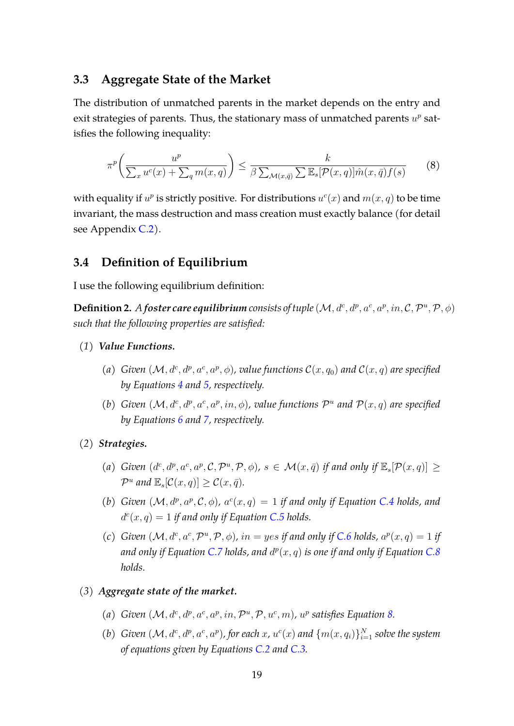### **3.3 Aggregate State of the Market**

The distribution of unmatched parents in the market depends on the entry and exit strategies of parents. Thus, the stationary mass of unmatched parents  $u^p$  satisfies the following inequality:

<span id="page-18-0"></span>
$$
\pi^p\left(\frac{u^p}{\sum_x u^c(x) + \sum_q m(x, q)}\right) \le \frac{k}{\beta \sum_{\mathcal{M}(x, \bar{q})} \sum \mathbb{E}_s[\mathcal{P}(x, q)] \hat{m}(x, \bar{q}) f(s)} \tag{8}
$$

with equality if  $u^p$  is strictly positive. For distributions  $u^c(x)$  and  $m(x, q)$  to be time invariant, the mass destruction and mass creation must exactly balance (for detail see Appendix [C.2\)](#page-37-1).

## **3.4 Definition of Equilibrium**

I use the following equilibrium definition:

**Definition 2.** A foster care equilibrium consists of tuple  $(\mathcal{M}, d^c, d^p, a^c, a^p, in, \mathcal{C}, \mathcal{P}^u, \mathcal{P}, \phi)$ *such that the following properties are satisfied:*

- *(1) Value Functions.*
	- (a) Given  $(M, d^c, d^p, a^c, a^p, \phi)$ , value functions  $\mathcal{C}(x, q_0)$  and  $\mathcal{C}(x, q)$  are specified *by Equations [4](#page-16-2) and [5,](#page-16-1) respectively.*
	- (b) Given  $(M, d^c, d^p, a^c, a^p, in, \phi)$ , value functions  $\mathcal{P}^u$  and  $\mathcal{P}(x, q)$  are specified *by Equations [6](#page-17-0) and [7,](#page-17-1) respectively.*
- *(2) Strategies.*
	- (a) *Given*  $(d^c, d^p, a^c, a^p, \mathcal{C}, \mathcal{P}^u, \mathcal{P}, \phi)$ ,  $s \in \mathcal{M}(x, \bar{q})$  *if and only if*  $\mathbb{E}_s[\mathcal{P}(x, q)] \geq$  $\mathcal{P}^u$  and  $\mathbb{E}_s[\mathcal{C}(x,q)] \geq \mathcal{C}(x,\bar{q}).$
	- (b) *Given*  $(M, d^p, a^p, \mathcal{C}, \phi)$ ,  $a^c(x, q) = 1$  *if and only if Equation [C.4](#page-38-0) holds*, and  $d^c(x, q) = 1$  *if and only if Equation [C.5](#page-38-1) holds.*
	- (c) *Given*  $(M, d^c, a^c, \mathcal{P}^u, \mathcal{P}, \phi)$ *, in = yes if and only if [C.6](#page-38-2) holds,*  $a^p(x, q) = 1$  *if* and only if Equation [C.7](#page-38-3) holds, and  $d^p(x,q)$  is one if and only if Equation [C.8](#page-38-4)  $\,$ *holds.*
- *(3) Aggregate state of the market.*
	- (a) *Given*  $(M, d^c, d^p, a^c, a^p, in, \mathcal{P}^u, \mathcal{P}, u^c, m)$ *, u<sup>p</sup> satisfies Equation [8.](#page-18-0)*
	- (b) *Given*  $(M, d^c, d^p, a^c, a^p)$ , for each x,  $u^c(x)$  and  $\{m(x, q_i)\}_{i=1}^N$  solve the system *of equations given by Equations [C.2](#page-37-2) and [C.3.](#page-37-3)*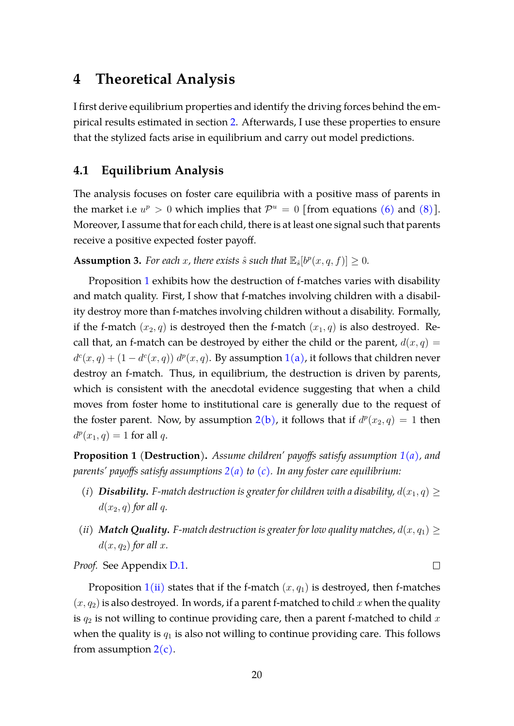# <span id="page-19-0"></span>**4 Theoretical Analysis**

I first derive equilibrium properties and identify the driving forces behind the empirical results estimated in section [2.](#page-5-0) Afterwards, I use these properties to ensure that the stylized facts arise in equilibrium and carry out model predictions.

## **4.1 Equilibrium Analysis**

The analysis focuses on foster care equilibria with a positive mass of parents in the market i.e  $u^p > 0$  which implies that  $\mathcal{P}^u = 0$  [from equations [\(6\)](#page-17-0) and [\(8\)](#page-18-0)]. Moreover, I assume that for each child, there is at least one signal such that parents receive a positive expected foster payoff.

<span id="page-19-3"></span>**Assumption 3.** For each x, there exists  $\hat{s}$  such that  $\mathbb{E}_{\hat{s}}[b^p(x, q, f)] \geq 0$ .

Proposition [1](#page-19-1) exhibits how the destruction of f-matches varies with disability and match quality. First, I show that f-matches involving children with a disability destroy more than f-matches involving children without a disability. Formally, if the f-match  $(x_2, q)$  is destroyed then the f-match  $(x_1, q)$  is also destroyed. Recall that, an f-match can be destroyed by either the child or the parent,  $d(x, q) =$  $d^c(x,q) + (1 - d^c(x,q)) d^p(x,q)$  $d^c(x,q) + (1 - d^c(x,q)) d^p(x,q)$  $d^c(x,q) + (1 - d^c(x,q)) d^p(x,q)$ . By assumption 1[\(a\),](#page-12-1) it follows that children never destroy an f-match. Thus, in equilibrium, the destruction is driven by parents, which is consistent with the anecdotal evidence suggesting that when a child moves from foster home to institutional care is generally due to the request of the foster parent. Now, by assumption  $2(b)$  $2(b)$ , it follows that if  $d^p(x_2, q) = 1$  then  $d^p(x_1, q) = 1$  for all q.

<span id="page-19-1"></span>**Proposition 1** (**Destruction**)**.** *Assume children' payoffs satisfy assumption [1](#page-0-0)[\(a\),](#page-12-1) and parents' payoffs satisfy assumptions [2](#page-0-0)[\(a\)](#page-13-0) to [\(c\).](#page-13-2) In any foster care equilibrium:*

- <span id="page-19-4"></span>*(i) Disability. F-match destruction is greater for children with a disability,*  $d(x_1, q) \ge$  $d(x_2, q)$  *for all q.*
- <span id="page-19-2"></span>*(ii) Match Quality. F-match destruction is greater for low quality matches,*  $d(x, q_1) \ge$  $d(x, q_2)$  *for all x.*

*Proof.* See Appendix [D.1.](#page-39-0)

Proposition  $1(i)$  $1(i)$  states that if the f-match  $(x, q_1)$  is destroyed, then f-matches  $(x, q_2)$  is also destroyed. In words, if a parent f-matched to child x when the quality is  $q_2$  is not willing to continue providing care, then a parent f-matched to child x when the quality is  $q_1$  is also not willing to continue providing care. This follows from assumption  $2(c)$  $2(c)$ .

 $\Box$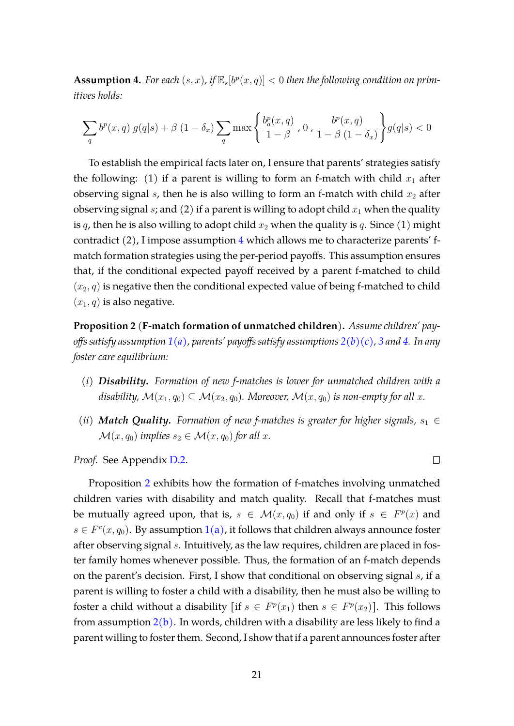<span id="page-20-0"></span>**Assumption 4.** For each  $(s, x)$ , if  $\mathbb{E}_s[b^p(x, q)] < 0$  then the following condition on prim*itives holds:*

$$
\sum_{q} b^{p}(x,q) g(q|s) + \beta (1 - \delta_{x}) \sum_{q} \max \left\{ \frac{b_{a}^{p}(x,q)}{1 - \beta}, 0, \frac{b^{p}(x,q)}{1 - \beta (1 - \delta_{x})} \right\} g(q|s) < 0
$$

To establish the empirical facts later on, I ensure that parents' strategies satisfy the following: (1) if a parent is willing to form an f-match with child  $x_1$  after observing signal  $s$ , then he is also willing to form an f-match with child  $x_2$  after observing signal s; and (2) if a parent is willing to adopt child  $x_1$  when the quality is q, then he is also willing to adopt child  $x_2$  when the quality is q. Since (1) might contradict (2), I impose assumption [4](#page-20-0) which allows me to characterize parents' fmatch formation strategies using the per-period payoffs. This assumption ensures that, if the conditional expected payoff received by a parent f-matched to child  $(x_2, q)$  is negative then the conditional expected value of being f-matched to child  $(x_1, q)$  is also negative.

<span id="page-20-1"></span>**Proposition 2** (**F-match formation of unmatched children**)**.** *Assume children' payoffs satisfy assumption [1](#page-0-0)[\(a\),](#page-12-1) parents' payoffs satisfy assumptions [2](#page-0-0)[\(b\)](#page-13-1)[\(c\),](#page-13-2) [3](#page-19-3) and [4.](#page-20-0) In any foster care equilibrium:*

- <span id="page-20-2"></span>*(i) Disability. Formation of new f-matches is lower for unmatched children with a disability,*  $\mathcal{M}(x_1, q_0) \subseteq \mathcal{M}(x_2, q_0)$ . Moreover,  $\mathcal{M}(x, q_0)$  is non-empty for all x.
- <span id="page-20-3"></span>*(ii) Match Quality.* Formation of new f-matches is greater for higher signals,  $s_1 \in$  $\mathcal{M}(x, q_0)$  *implies*  $s_2 \in \mathcal{M}(x, q_0)$  *for all x.*

 $\Box$ 

*Proof.* See Appendix [D.2.](#page-42-0)

Proposition [2](#page-20-1) exhibits how the formation of f-matches involving unmatched children varies with disability and match quality. Recall that f-matches must be mutually agreed upon, that is,  $s \in \mathcal{M}(x,q_0)$  if and only if  $s \in F^p(x)$  and  $s \in F^c(x, q_0)$ . By assumption  $1(a)$  $1(a)$ , it follows that children always announce foster after observing signal s. Intuitively, as the law requires, children are placed in foster family homes whenever possible. Thus, the formation of an f-match depends on the parent's decision. First, I show that conditional on observing signal s, if a parent is willing to foster a child with a disability, then he must also be willing to foster a child without a disability [if  $s \in F^p(x_1)$  then  $s \in F^p(x_2)$ ]. This follows from assumption  $2(b)$  $2(b)$ . In words, children with a disability are less likely to find a parent willing to foster them. Second, I show that if a parent announces foster after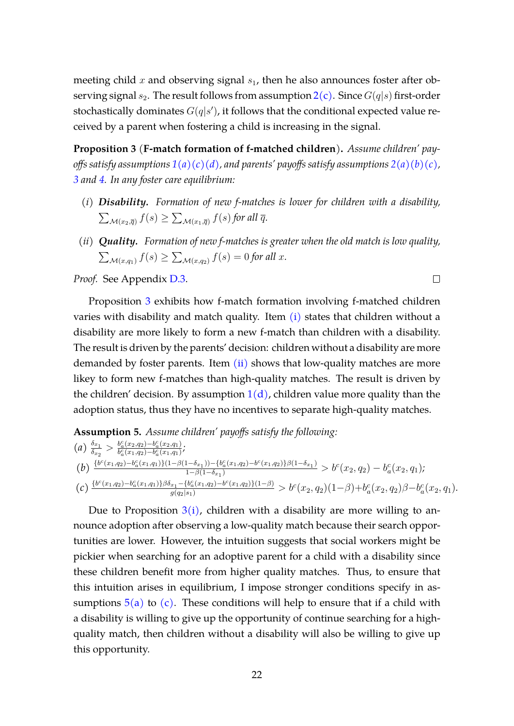meeting child x and observing signal  $s<sub>1</sub>$ , then he also announces foster after observing signal  $s_2$  $s_2$ . The result follows from assumption  $2(c)$ . Since  $G(q|s)$  first-order stochastically dominates  $G(q|s')$ , it follows that the conditional expected value received by a parent when fostering a child is increasing in the signal.

<span id="page-21-0"></span>**Proposition 3** (**F-match formation of f-matched children**)**.** *Assume children' payoffs satisfy assumptions [1](#page-0-0)[\(a\)](#page-12-1)[\(c\)](#page-12-3)[\(d\),](#page-12-4) and parents' payoffs satisfy assumptions [2](#page-0-0)[\(a\)](#page-13-0)[\(b\)](#page-13-1)[\(c\),](#page-13-2) [3](#page-19-3) and [4.](#page-20-0) In any foster care equilibrium:*

- <span id="page-21-1"></span>*(i) Disability. Formation of new f-matches is lower for children with a disability,*  $\sum_{\mathcal{M}(x_2,\overline{q})}f(s)\geq \sum_{\mathcal{M}(x_1,\overline{q})}f(s)$  for all  $\overline{q}.$
- <span id="page-21-2"></span>*(ii) Quality. Formation of new f-matches is greater when the old match is low quality,*  $\sum_{\mathcal{M}(x,q_1)} f(s) \geq \sum_{\mathcal{M}(x,q_2)} f(s) = 0$  for all x.

 $\Box$ 

*Proof.* See Appendix [D.3.](#page-44-0)

Proposition [3](#page-21-0) exhibits how f-match formation involving f-matched children varies with disability and match quality. Item [\(i\)](#page-21-1) states that children without a disability are more likely to form a new f-match than children with a disability. The result is driven by the parents' decision: children without a disability are more demanded by foster parents. Item  $(ii)$  shows that low-quality matches are more likey to form new f-matches than high-quality matches. The result is driven by the children' decision. By assumption  $1(d)$  $1(d)$ , children value more quality than the adoption status, thus they have no incentives to separate high-quality matches.

<span id="page-21-4"></span><span id="page-21-3"></span>Assumption 5. Assume children' payoffs satisfy the following:  
\n(a) 
$$
\frac{\delta_{x_1}}{\delta_{x_2}} > \frac{b_a^c(x_2, q_2) - b_a^c(x_2, q_1)}{b_a^c(x_1, q_2) - b_a^c(x_1, q_1)}
$$
;  
\n(b)  $\frac{\{b^c(x_1, q_2) - b_a^c(x_1, q_1)\}(1 - \beta(1 - \delta_{x_1})) - \{b_a^c(x_1, q_2) - b^c(x_1, q_2)\}\beta(1 - \delta_{x_1})}{1 - \beta(1 - \delta_{x_1})} > b^c(x_2, q_2) - b_a^c(x_2, q_1)$ ;  
\n(c)  $\frac{\{b^c(x_1, q_2) - b_a^c(x_1, q_1)\}\beta\delta_{x_1} - \{b_a^c(x_1, q_2) - b^c(x_1, q_2)\}\}(1 - \beta)}{g(q_2|s_1)} > b^c(x_2, q_2)(1 - \beta) + b_a^c(x_2, q_2)\beta - b_a^c(x_2, q_1)$ .

<span id="page-21-5"></span>Due to Proposition  $3(i)$  $3(i)$ , children with a disability are more willing to announce adoption after observing a low-quality match because their search opportunities are lower. However, the intuition suggests that social workers might be pickier when searching for an adoptive parent for a child with a disability since these children benefit more from higher quality matches. Thus, to ensure that this intuition arises in equilibrium, I impose stronger conditions specify in assumptions  $5(a)$  $5(a)$  to [\(c\).](#page-21-5) These conditions will help to ensure that if a child with a disability is willing to give up the opportunity of continue searching for a highquality match, then children without a disability will also be willing to give up this opportunity.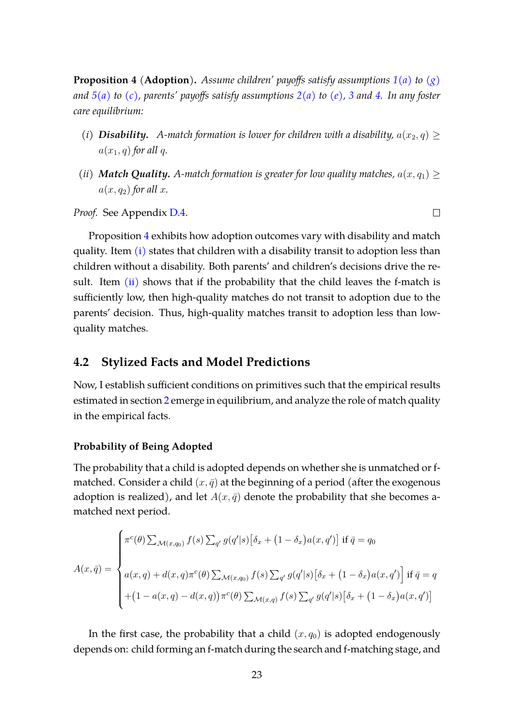<span id="page-22-0"></span>**Proposition 4** (**Adoption**)**.** *Assume children' payoffs satisfy assumptions [1](#page-0-0)[\(a\)](#page-12-1) to [\(g\)](#page-12-7) and [5](#page-21-3)[\(a\)](#page-21-4) to [\(c\),](#page-21-5) parents' payoffs satisfy assumptions [2](#page-0-0)[\(a\)](#page-13-0) to [\(e\),](#page-13-4) [3](#page-19-3) and [4.](#page-20-0) In any foster care equilibrium:*

- <span id="page-22-1"></span>*(i)* **Disability.** A-match formation is lower for children with a disability,  $a(x_2, q) \geq$  $a(x_1, q)$  *for all q.*
- <span id="page-22-2"></span>*(ii) Match Quality. A-match formation is greater for low quality matches,*  $a(x, q_1) \geq$  $a(x, q_2)$  *for all x.*

*Proof.* See Appendix [D.4.](#page-45-0)

Proposition [4](#page-22-0) exhibits how adoption outcomes vary with disability and match quality. Item [\(i\)](#page-22-1) states that children with a disability transit to adoption less than children without a disability. Both parents' and children's decisions drive the result. Item  $(ii)$  shows that if the probability that the child leaves the f-match is sufficiently low, then high-quality matches do not transit to adoption due to the parents' decision. Thus, high-quality matches transit to adoption less than lowquality matches.

### **4.2 Stylized Facts and Model Predictions**

Now, I establish sufficient conditions on primitives such that the empirical results estimated in section [2](#page-5-0) emerge in equilibrium, and analyze the role of match quality in the empirical facts.

#### **Probability of Being Adopted**

The probability that a child is adopted depends on whether she is unmatched or fmatched. Consider a child  $(x, \bar{q})$  at the beginning of a period (after the exogenous adoption is realized), and let  $A(x, \bar{q})$  denote the probability that she becomes amatched next period.

$$
A(x,\bar{q}) = \begin{cases} \pi^c(\theta) \sum_{\mathcal{M}(x,q_0)} f(s) \sum_{q'} g(q'|s) \left[\delta_x + (1-\delta_x)a(x,q')\right] \text{ if } \bar{q} = q_0\\ a(x,q) + d(x,q)\pi^c(\theta) \sum_{\mathcal{M}(x,q_0)} f(s) \sum_{q'} g(q'|s) \left[\delta_x + (1-\delta_x)a(x,q')\right] \text{ if } \bar{q} = q\\ + (1-a(x,q) - d(x,q))\pi^c(\theta) \sum_{\mathcal{M}(x,q)} f(s) \sum_{q'} g(q'|s) \left[\delta_x + (1-\delta_x)a(x,q')\right] \end{cases}
$$

In the first case, the probability that a child  $(x, q_0)$  is adopted endogenously depends on: child forming an f-match during the search and f-matching stage, and

 $\Box$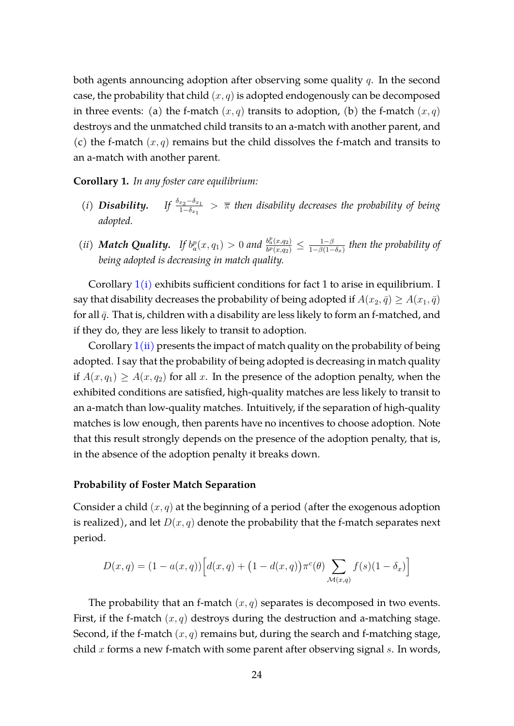both agents announcing adoption after observing some quality  $q$ . In the second case, the probability that child  $(x, q)$  is adopted endogenously can be decomposed in three events: (a) the f-match  $(x, q)$  transits to adoption, (b) the f-match  $(x, q)$ destroys and the unmatched child transits to an a-match with another parent, and (c) the f-match  $(x, q)$  remains but the child dissolves the f-match and transits to an a-match with another parent.

<span id="page-23-0"></span>**Corollary 1.** *In any foster care equilibrium:*

- <span id="page-23-1"></span> $(i)$  *Disability.* 1−δx<sup>1</sup> > π *then disability decreases the probability of being adopted.*
- <span id="page-23-2"></span>(*ii*) *Match Quality.* If  $b_a^p(x, q_1) > 0$  and  $\frac{b_a^p(x, q_2)}{b^p(x, q_2)}$  $\frac{b_{a}^{p}(x,q_{2})}{b^{p}(x,q_{2})} \leq \frac{1-\beta}{1-\beta(1-\beta)}$  $\frac{1-\beta}{1-\beta(1-\delta_x)}$  then the probability of *being adopted is decreasing in match quality.*

Corollary  $1(i)$  $1(i)$  exhibits sufficient conditions for fact 1 to arise in equilibrium. I say that disability decreases the probability of being adopted if  $A(x_2, \bar{q}) \geq A(x_1, \bar{q})$ for all  $\bar{q}$ . That is, children with a disability are less likely to form an f-matched, and if they do, they are less likely to transit to adoption.

Corollary  $1(ii)$  $1(ii)$  presents the impact of match quality on the probability of being adopted. I say that the probability of being adopted is decreasing in match quality if  $A(x, q_1) \geq A(x, q_2)$  for all x. In the presence of the adoption penalty, when the exhibited conditions are satisfied, high-quality matches are less likely to transit to an a-match than low-quality matches. Intuitively, if the separation of high-quality matches is low enough, then parents have no incentives to choose adoption. Note that this result strongly depends on the presence of the adoption penalty, that is, in the absence of the adoption penalty it breaks down.

#### **Probability of Foster Match Separation**

Consider a child  $(x, q)$  at the beginning of a period (after the exogenous adoption is realized), and let  $D(x, q)$  denote the probability that the f-match separates next period.

$$
D(x, q) = (1 - a(x, q)) [d(x, q) + (1 - d(x, q)) \pi^{c}(\theta) \sum_{\mathcal{M}(x, q)} f(s)(1 - \delta_x)]
$$

The probability that an f-match  $(x, q)$  separates is decomposed in two events. First, if the f-match  $(x, q)$  destroys during the destruction and a-matching stage. Second, if the f-match  $(x, q)$  remains but, during the search and f-matching stage, child  $x$  forms a new f-match with some parent after observing signal  $s$ . In words,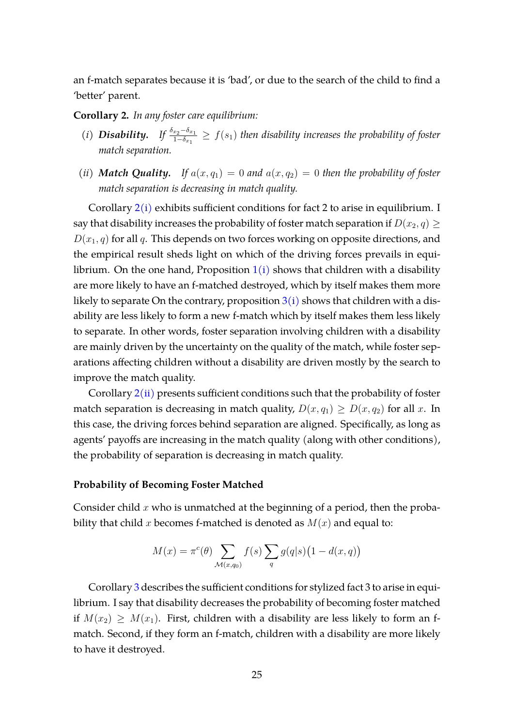an f-match separates because it is 'bad', or due to the search of the child to find a 'better' parent.

<span id="page-24-0"></span>**Corollary 2.** *In any foster care equilibrium:*

- <span id="page-24-1"></span>(*i*) *Disability.* If  $\frac{\delta_{x_2}-\delta_{x_1}}{1-\delta_{x_1}} \geq f(s_1)$  then disability increases the probability of foster *match separation.*
- <span id="page-24-2"></span>*(ii) Match Quality.* If  $a(x, q_1) = 0$  and  $a(x, q_2) = 0$  then the probability of foster *match separation is decreasing in match quality.*

Corollary  $2(i)$  $2(i)$  exhibits sufficient conditions for fact 2 to arise in equilibrium. I say that disability increases the probability of foster match separation if  $D(x_2, q) \geq$  $D(x_1, q)$  for all q. This depends on two forces working on opposite directions, and the empirical result sheds light on which of the driving forces prevails in equilibrium. On the one hand, Proposition  $1(i)$  $1(i)$  shows that children with a disability are more likely to have an f-matched destroyed, which by itself makes them more likely to separate On the contrary, proposition  $3(i)$  $3(i)$  shows that children with a disability are less likely to form a new f-match which by itself makes them less likely to separate. In other words, foster separation involving children with a disability are mainly driven by the uncertainty on the quality of the match, while foster separations affecting children without a disability are driven mostly by the search to improve the match quality.

Corollary  $2(ii)$  $2(ii)$  presents sufficient conditions such that the probability of foster match separation is decreasing in match quality,  $D(x,q_1) \geq D(x,q_2)$  for all x. In this case, the driving forces behind separation are aligned. Specifically, as long as agents' payoffs are increasing in the match quality (along with other conditions), the probability of separation is decreasing in match quality.

#### **Probability of Becoming Foster Matched**

Consider child  $x$  who is unmatched at the beginning of a period, then the probability that child x becomes f-matched is denoted as  $M(x)$  and equal to:

$$
M(x) = \pi^{c}(\theta) \sum_{\mathcal{M}(x,q_0)} f(s) \sum_{q} g(q|s) (1 - d(x,q))
$$

Corollary [3](#page-25-0) describes the sufficient conditions for stylized fact 3 to arise in equilibrium. I say that disability decreases the probability of becoming foster matched if  $M(x_2) \geq M(x_1)$ . First, children with a disability are less likely to form an fmatch. Second, if they form an f-match, children with a disability are more likely to have it destroyed.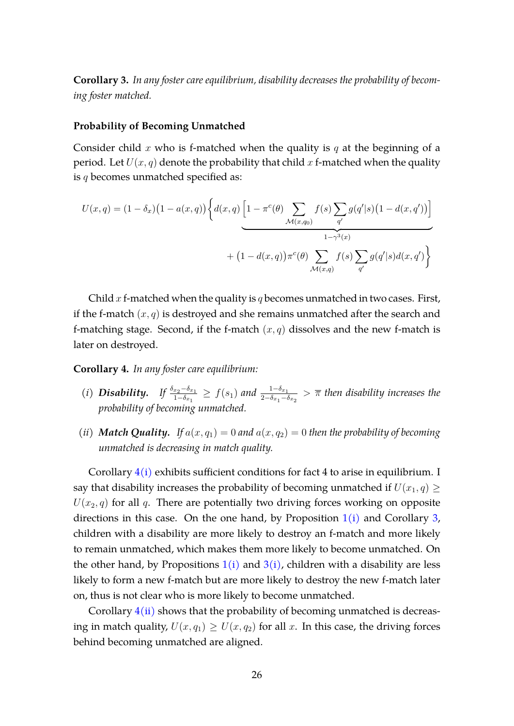<span id="page-25-0"></span>**Corollary 3.** *In any foster care equilibrium, disability decreases the probability of becoming foster matched.*

#### **Probability of Becoming Unmatched**

Consider child x who is f-matched when the quality is q at the beginning of a period. Let  $U(x, q)$  denote the probability that child x f-matched when the quality is  $q$  becomes unmatched specified as:

$$
U(x,q) = (1 - \delta_x)(1 - a(x,q)) \left\{ d(x,q) \left[ 1 - \pi^c(\theta) \sum_{\mathcal{M}(x,q_0)} f(s) \sum_{q'} g(q'|s) (1 - d(x,q')) \right] + (1 - d(x,q)) \pi^c(\theta) \sum_{\mathcal{M}(x,q)} f(s) \sum_{q'} g(q'|s) d(x,q') \right\}
$$

Child  $x$  f-matched when the quality is  $q$  becomes unmatched in two cases. First, if the f-match  $(x, q)$  is destroyed and she remains unmatched after the search and f-matching stage. Second, if the f-match  $(x, q)$  dissolves and the new f-match is later on destroyed.

#### <span id="page-25-1"></span>**Corollary 4.** *In any foster care equilibrium:*

- <span id="page-25-2"></span>(*i*) *Disability.* If  $\frac{\delta_{x_2}-\delta_{x_1}}{1-\delta_{x_1}} \ge f(s_1)$  and  $\frac{1-\delta_{x_1}}{2-\delta_{x_1}-\delta_{x_2}} > \overline{\pi}$  then disability increases the *probability of becoming unmatched.*
- <span id="page-25-3"></span>*(ii) Match Quality.* If  $a(x, q_1) = 0$  and  $a(x, q_2) = 0$  then the probability of becoming *unmatched is decreasing in match quality.*

Corollary  $4(i)$  $4(i)$  exhibits sufficient conditions for fact 4 to arise in equilibrium. I say that disability increases the probability of becoming unmatched if  $U(x_1, q) \geq$  $U(x_2, q)$  for all q. There are potentially two driving forces working on opposite directions in this case. On the one hand, by Proposition  $1(i)$  $1(i)$  and Corollary [3,](#page-25-0) children with a disability are more likely to destroy an f-match and more likely to remain unmatched, which makes them more likely to become unmatched. On the other hand, by Propositions  $1(i)$  $1(i)$  and  $3(i)$  $3(i)$ , children with a disability are less likely to form a new f-match but are more likely to destroy the new f-match later on, thus is not clear who is more likely to become unmatched.

Corollary  $4(ii)$  $4(ii)$  shows that the probability of becoming unmatched is decreasing in match quality,  $U(x, q_1) \geq U(x, q_2)$  for all x. In this case, the driving forces behind becoming unmatched are aligned.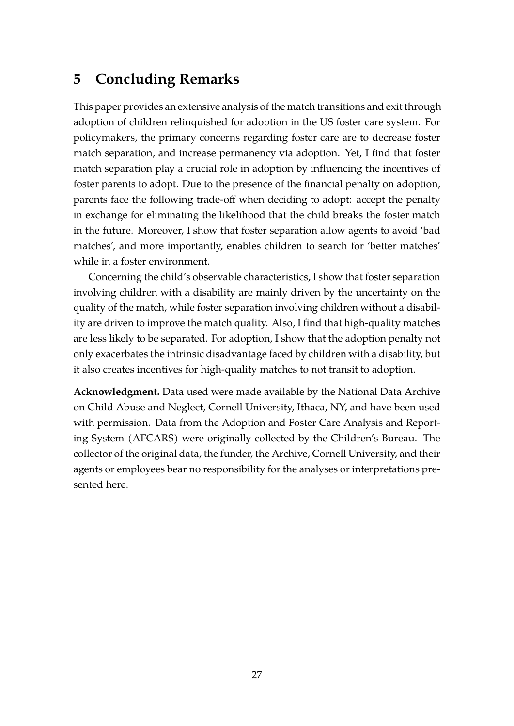# <span id="page-26-0"></span>**5 Concluding Remarks**

This paper provides an extensive analysis of the match transitions and exit through adoption of children relinquished for adoption in the US foster care system. For policymakers, the primary concerns regarding foster care are to decrease foster match separation, and increase permanency via adoption. Yet, I find that foster match separation play a crucial role in adoption by influencing the incentives of foster parents to adopt. Due to the presence of the financial penalty on adoption, parents face the following trade-off when deciding to adopt: accept the penalty in exchange for eliminating the likelihood that the child breaks the foster match in the future. Moreover, I show that foster separation allow agents to avoid 'bad matches', and more importantly, enables children to search for 'better matches' while in a foster environment.

Concerning the child's observable characteristics, I show that foster separation involving children with a disability are mainly driven by the uncertainty on the quality of the match, while foster separation involving children without a disability are driven to improve the match quality. Also, I find that high-quality matches are less likely to be separated. For adoption, I show that the adoption penalty not only exacerbates the intrinsic disadvantage faced by children with a disability, but it also creates incentives for high-quality matches to not transit to adoption.

**Acknowledgment.** Data used were made available by the National Data Archive on Child Abuse and Neglect, Cornell University, Ithaca, NY, and have been used with permission. Data from the Adoption and Foster Care Analysis and Reporting System (AFCARS) were originally collected by the Children's Bureau. The collector of the original data, the funder, the Archive, Cornell University, and their agents or employees bear no responsibility for the analyses or interpretations presented here.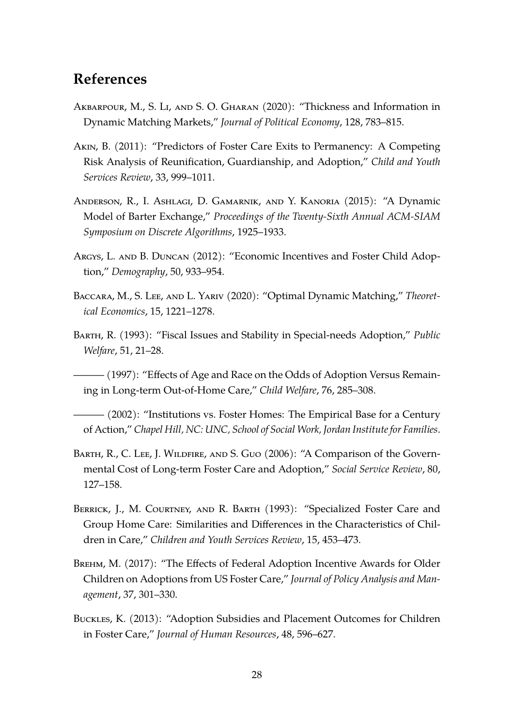# **References**

- <span id="page-27-2"></span>Akbarpour, M., S. Li, and S. O. Gharan (2020): "Thickness and Information in Dynamic Matching Markets," *Journal of Political Economy*, 128, 783–815.
- <span id="page-27-5"></span>Akin, B. (2011): "Predictors of Foster Care Exits to Permanency: A Competing Risk Analysis of Reunification, Guardianship, and Adoption," *Child and Youth Services Review*, 33, 999–1011.
- <span id="page-27-1"></span>Anderson, R., I. Ashlagi, D. Gamarnik, and Y. Kanoria (2015): "A Dynamic Model of Barter Exchange," *Proceedings of the Twenty-Sixth Annual ACM-SIAM Symposium on Discrete Algorithms*, 1925–1933.
- <span id="page-27-0"></span>Argys, L. and B. Duncan (2012): "Economic Incentives and Foster Child Adoption," *Demography*, 50, 933–954.
- <span id="page-27-3"></span>Baccara, M., S. Lee, and L. Yariv (2020): "Optimal Dynamic Matching," *Theoretical Economics*, 15, 1221–1278.
- <span id="page-27-10"></span>Barth, R. (1993): "Fiscal Issues and Stability in Special-needs Adoption," *Public Welfare*, 51, 21–28.
- <span id="page-27-4"></span> $-$  (1997): "Effects of Age and Race on the Odds of Adoption Versus Remaining in Long-term Out-of-Home Care," *Child Welfare*, 76, 285–308.
- <span id="page-27-8"></span> $-$  (2002): "Institutions vs. Foster Homes: The Empirical Base for a Century of Action," *Chapel Hill, NC: UNC, School of Social Work, Jordan Institute for Families*.
- <span id="page-27-11"></span>BARTH, R., C. LEE, J. WILDFIRE, AND S. GUO (2006): "A Comparison of the Governmental Cost of Long-term Foster Care and Adoption," *Social Service Review*, 80, 127–158.
- <span id="page-27-9"></span>BERRICK, J., M. COURTNEY, AND R. BARTH (1993): "Specialized Foster Care and Group Home Care: Similarities and Differences in the Characteristics of Children in Care," *Children and Youth Services Review*, 15, 453–473.
- <span id="page-27-7"></span>Brehm, M. (2017): "The Effects of Federal Adoption Incentive Awards for Older Children on Adoptions from US Foster Care," *Journal of Policy Analysis and Management*, 37, 301–330.
- <span id="page-27-6"></span>Buckles, K. (2013): "Adoption Subsidies and Placement Outcomes for Children in Foster Care," *Journal of Human Resources*, 48, 596–627.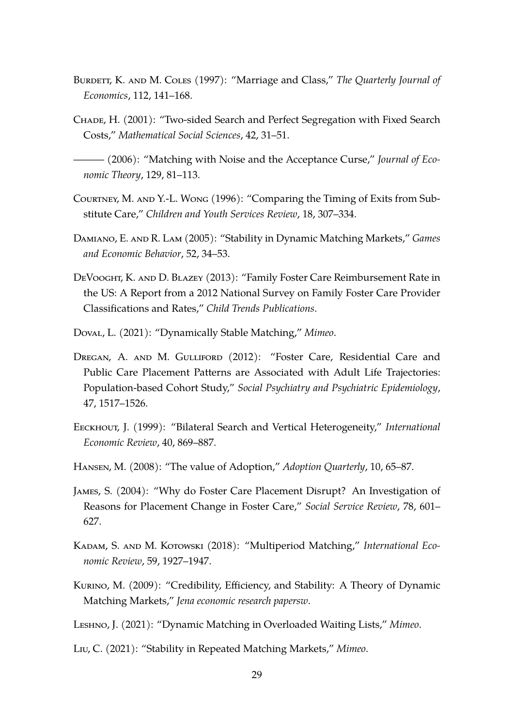- <span id="page-28-2"></span>BURDETT, K. AND M. COLES (1997): "Marriage and Class," *The Quarterly Journal of Economics*, 112, 141–168.
- <span id="page-28-4"></span>Chade, H. (2001): "Two-sided Search and Perfect Segregation with Fixed Search Costs," *Mathematical Social Sciences*, 42, 31–51.

<span id="page-28-5"></span>——— (2006): "Matching with Noise and the Acceptance Curse," *Journal of Economic Theory*, 129, 81–113.

- <span id="page-28-10"></span>Courtney, M. and Y.-L. Wong (1996): "Comparing the Timing of Exits from Substitute Care," *Children and Youth Services Review*, 18, 307–334.
- <span id="page-28-6"></span>Damiano, E. and R. Lam (2005): "Stability in Dynamic Matching Markets," *Games and Economic Behavior*, 52, 34–53.
- <span id="page-28-14"></span>DeVooght, K. and D. Blazey (2013): "Family Foster Care Reimbursement Rate in the US: A Report from a 2012 National Survey on Family Foster Care Provider Classifications and Rates," *Child Trends Publications*.
- <span id="page-28-0"></span>Doval, L. (2021): "Dynamically Stable Matching," *Mimeo*.
- <span id="page-28-12"></span>DREGAN, A. AND M. GULLIFORD (2012): "Foster Care, Residential Care and Public Care Placement Patterns are Associated with Adult Life Trajectories: Population-based Cohort Study," *Social Psychiatry and Psychiatric Epidemiology*, 47, 1517–1526.
- <span id="page-28-3"></span>Eeckhout, J. (1999): "Bilateral Search and Vertical Heterogeneity," *International Economic Review*, 40, 869–887.
- <span id="page-28-13"></span>Hansen, M. (2008): "The value of Adoption," *Adoption Quarterly*, 10, 65–87.
- <span id="page-28-11"></span>James, S. (2004): "Why do Foster Care Placement Disrupt? An Investigation of Reasons for Placement Change in Foster Care," *Social Service Review*, 78, 601– 627.
- <span id="page-28-8"></span>KADAM, S. AND M. KOTOWSKI (2018): "Multiperiod Matching," *International Economic Review*, 59, 1927–1947.
- <span id="page-28-7"></span>Kurino, M. (2009): "Credibility, Efficiency, and Stability: A Theory of Dynamic Matching Markets," *Jena economic research papersw*.
- <span id="page-28-1"></span>Leshno, J. (2021): "Dynamic Matching in Overloaded Waiting Lists," *Mimeo*.
- <span id="page-28-9"></span>Liu, C. (2021): "Stability in Repeated Matching Markets," *Mimeo*.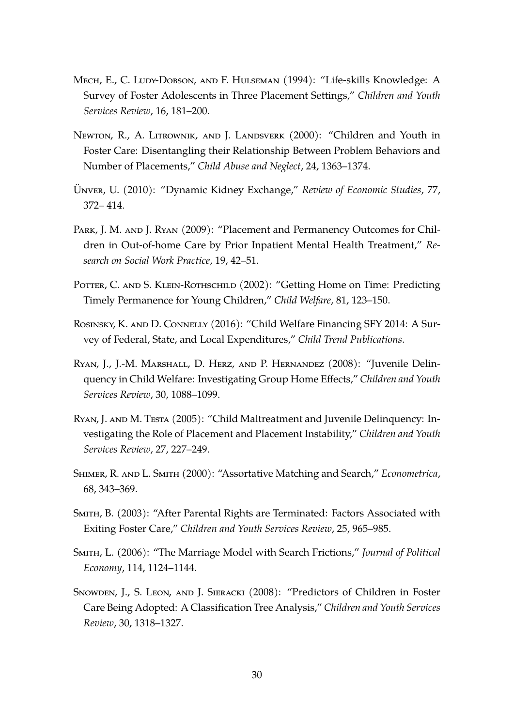- <span id="page-29-8"></span>Mech, E., C. Ludy-Dobson, and F. Hulseman (1994): "Life-skills Knowledge: A Survey of Foster Adolescents in Three Placement Settings," *Children and Youth Services Review*, 16, 181–200.
- <span id="page-29-10"></span>Newton, R., A. Litrownik, and J. Landsverk (2000): "Children and Youth in Foster Care: Disentangling their Relationship Between Problem Behaviors and Number of Placements," *Child Abuse and Neglect*, 24, 1363–1374.
- <span id="page-29-0"></span>UNVER, U. (2010): "Dynamic Kidney Exchange," *Review of Economic Studies*, 77, 372– 414.
- <span id="page-29-5"></span>PARK, J. M. AND J. RYAN (2009): "Placement and Permanency Outcomes for Children in Out-of-home Care by Prior Inpatient Mental Health Treatment," *Research on Social Work Practice*, 19, 42–51.
- <span id="page-29-4"></span>POTTER, C. AND S. KLEIN-ROTHSCHILD (2002): "Getting Home on Time: Predicting Timely Permanence for Young Children," *Child Welfare*, 81, 123–150.
- <span id="page-29-7"></span>ROSINSKY, K. AND D. CONNELLY (2016): "Child Welfare Financing SFY 2014: A Survey of Federal, State, and Local Expenditures," *Child Trend Publications*.
- <span id="page-29-9"></span>Ryan, J., J.-M. Marshall, D. Herz, and P. Hernandez (2008): "Juvenile Delinquency in Child Welfare: Investigating Group Home Effects," *Children and Youth Services Review*, 30, 1088–1099.
- <span id="page-29-11"></span>Ryan, J. and M. Testa (2005): "Child Maltreatment and Juvenile Delinquency: Investigating the Role of Placement and Placement Instability," *Children and Youth Services Review*, 27, 227–249.
- <span id="page-29-1"></span>Shimer, R. and L. Smith (2000): "Assortative Matching and Search," *Econometrica*, 68, 343–369.
- <span id="page-29-6"></span>SMITH, B. (2003): "After Parental Rights are Terminated: Factors Associated with Exiting Foster Care," *Children and Youth Services Review*, 25, 965–985.
- <span id="page-29-2"></span>Smith, L. (2006): "The Marriage Model with Search Frictions," *Journal of Political Economy*, 114, 1124–1144.
- <span id="page-29-3"></span>Snowden, J., S. Leon, and J. Sieracki (2008): "Predictors of Children in Foster Care Being Adopted: A Classification Tree Analysis," *Children and Youth Services Review*, 30, 1318–1327.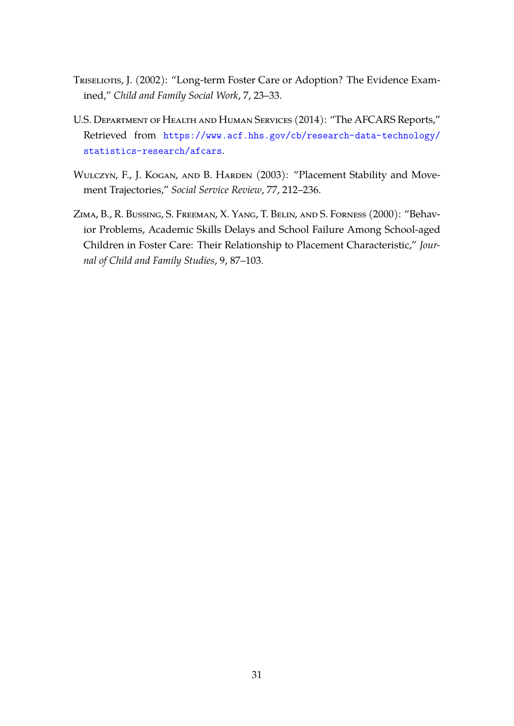- <span id="page-30-2"></span>Triseliotis, J. (2002): "Long-term Foster Care or Adoption? The Evidence Examined," *Child and Family Social Work*, 7, 23–33.
- <span id="page-30-1"></span>U.S. Department of Health and Human Services (2014): "The AFCARS Reports," Retrieved from [https://www.acf.hhs.gov/cb/research-data-technology/](https://www.acf.hhs.gov/cb/research-data-technology/statistics-research/afcars) [statistics-research/afcars](https://www.acf.hhs.gov/cb/research-data-technology/statistics-research/afcars).
- <span id="page-30-0"></span>WULCZYN, F., J. KOGAN, AND B. HARDEN (2003): "Placement Stability and Movement Trajectories," *Social Service Review*, 77, 212–236.
- <span id="page-30-3"></span>Zima, B., R. Bussing, S. Freeman, X. Yang, T. Belin, and S. Forness (2000): "Behavior Problems, Academic Skills Delays and School Failure Among School-aged Children in Foster Care: Their Relationship to Placement Characteristic," *Journal of Child and Family Studies*, 9, 87–103.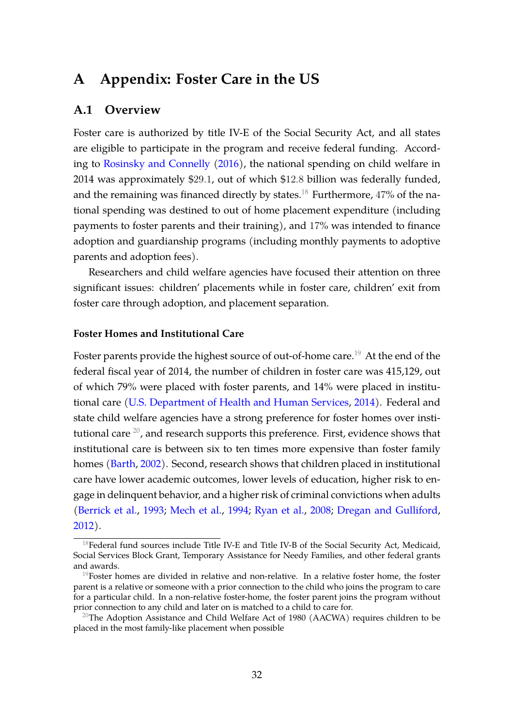# <span id="page-31-0"></span>**A Appendix: Foster Care in the US**

### **A.1 Overview**

Foster care is authorized by title IV-E of the Social Security Act, and all states are eligible to participate in the program and receive federal funding. According to [Rosinsky and Connelly](#page-29-7) [\(2016\)](#page-29-7), the national spending on child welfare in 2014 was approximately \$29.1, out of which \$12.8 billion was federally funded, and the remaining was financed directly by states.<sup>[18](#page-31-1)</sup> Furthermore,  $47\%$  of the national spending was destined to out of home placement expenditure (including payments to foster parents and their training), and 17% was intended to finance adoption and guardianship programs (including monthly payments to adoptive parents and adoption fees).

Researchers and child welfare agencies have focused their attention on three significant issues: children' placements while in foster care, children' exit from foster care through adoption, and placement separation.

#### **Foster Homes and Institutional Care**

Foster parents provide the highest source of out-of-home care.<sup>[19](#page-31-2)</sup> At the end of the federal fiscal year of 2014, the number of children in foster care was 415,129, out of which 79% were placed with foster parents, and 14% were placed in institutional care [\(U.S. Department of Health and Human Services,](#page-30-1) [2014\)](#page-30-1). Federal and state child welfare agencies have a strong preference for foster homes over institutional care  $^{20}$  $^{20}$  $^{20}$ , and research supports this preference. First, evidence shows that institutional care is between six to ten times more expensive than foster family homes [\(Barth,](#page-27-8) [2002\)](#page-27-8). Second, research shows that children placed in institutional care have lower academic outcomes, lower levels of education, higher risk to engage in delinquent behavior, and a higher risk of criminal convictions when adults [\(Berrick et al.,](#page-27-9) [1993;](#page-27-9) [Mech et al.,](#page-29-8) [1994;](#page-29-8) [Ryan et al.,](#page-29-9) [2008;](#page-29-9) [Dregan and Gulliford,](#page-28-12) [2012\)](#page-28-12).

<span id="page-31-1"></span> $18$ Federal fund sources include Title IV-E and Title IV-B of the Social Security Act, Medicaid, Social Services Block Grant, Temporary Assistance for Needy Families, and other federal grants and awards.

<span id="page-31-2"></span> $19$ Foster homes are divided in relative and non-relative. In a relative foster home, the foster parent is a relative or someone with a prior connection to the child who joins the program to care for a particular child. In a non-relative foster-home, the foster parent joins the program without prior connection to any child and later on is matched to a child to care for.

<span id="page-31-3"></span><sup>&</sup>lt;sup>20</sup>The Adoption Assistance and Child Welfare Act of 1980 (AACWA) requires children to be placed in the most family-like placement when possible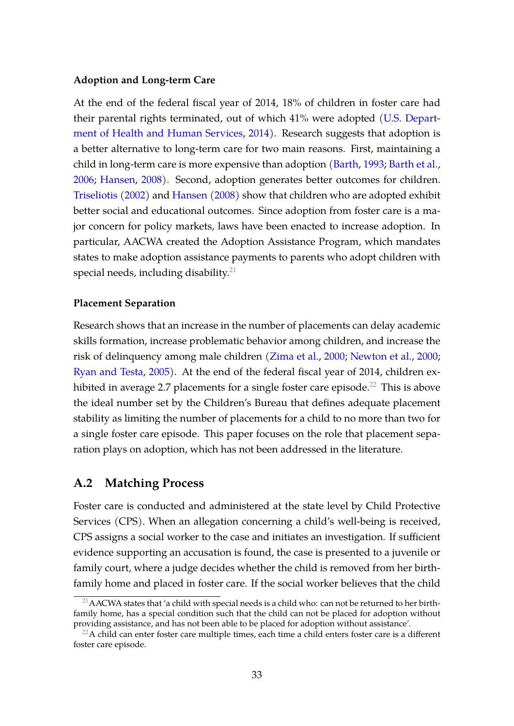#### **Adoption and Long-term Care**

At the end of the federal fiscal year of 2014, 18% of children in foster care had their parental rights terminated, out of which 41% were adopted [\(U.S. Depart](#page-30-1)[ment of Health and Human Services,](#page-30-1) [2014\)](#page-30-1). Research suggests that adoption is a better alternative to long-term care for two main reasons. First, maintaining a child in long-term care is more expensive than adoption [\(Barth,](#page-27-10) [1993;](#page-27-10) [Barth et al.,](#page-27-11) [2006;](#page-27-11) [Hansen,](#page-28-13) [2008\)](#page-28-13). Second, adoption generates better outcomes for children. [Triseliotis](#page-30-2) [\(2002\)](#page-30-2) and [Hansen](#page-28-13) [\(2008\)](#page-28-13) show that children who are adopted exhibit better social and educational outcomes. Since adoption from foster care is a major concern for policy markets, laws have been enacted to increase adoption. In particular, AACWA created the Adoption Assistance Program, which mandates states to make adoption assistance payments to parents who adopt children with special needs, including disability. $21$ 

#### **Placement Separation**

Research shows that an increase in the number of placements can delay academic skills formation, increase problematic behavior among children, and increase the risk of delinquency among male children [\(Zima et al.,](#page-30-3) [2000;](#page-30-3) [Newton et al.,](#page-29-10) [2000;](#page-29-10) [Ryan and Testa,](#page-29-11) [2005\)](#page-29-11). At the end of the federal fiscal year of 2014, children ex-hibited in average 2.7 placements for a single foster care episode.<sup>[22](#page-32-1)</sup> This is above the ideal number set by the Children's Bureau that defines adequate placement stability as limiting the number of placements for a child to no more than two for a single foster care episode. This paper focuses on the role that placement separation plays on adoption, which has not been addressed in the literature.

## **A.2 Matching Process**

Foster care is conducted and administered at the state level by Child Protective Services (CPS). When an allegation concerning a child's well-being is received, CPS assigns a social worker to the case and initiates an investigation. If sufficient evidence supporting an accusation is found, the case is presented to a juvenile or family court, where a judge decides whether the child is removed from her birthfamily home and placed in foster care. If the social worker believes that the child

<span id="page-32-0"></span><sup>&</sup>lt;sup>21</sup> AACWA states that 'a child with special needs is a child who: can not be returned to her birthfamily home, has a special condition such that the child can not be placed for adoption without providing assistance, and has not been able to be placed for adoption without assistance'.

<span id="page-32-1"></span> $22A$  child can enter foster care multiple times, each time a child enters foster care is a different foster care episode.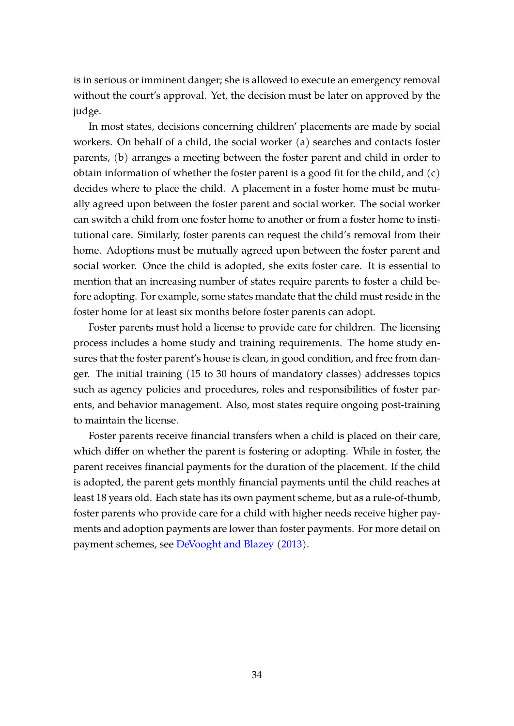is in serious or imminent danger; she is allowed to execute an emergency removal without the court's approval. Yet, the decision must be later on approved by the judge.

In most states, decisions concerning children' placements are made by social workers. On behalf of a child, the social worker (a) searches and contacts foster parents, (b) arranges a meeting between the foster parent and child in order to obtain information of whether the foster parent is a good fit for the child, and (c) decides where to place the child. A placement in a foster home must be mutually agreed upon between the foster parent and social worker. The social worker can switch a child from one foster home to another or from a foster home to institutional care. Similarly, foster parents can request the child's removal from their home. Adoptions must be mutually agreed upon between the foster parent and social worker. Once the child is adopted, she exits foster care. It is essential to mention that an increasing number of states require parents to foster a child before adopting. For example, some states mandate that the child must reside in the foster home for at least six months before foster parents can adopt.

Foster parents must hold a license to provide care for children. The licensing process includes a home study and training requirements. The home study ensures that the foster parent's house is clean, in good condition, and free from danger. The initial training (15 to 30 hours of mandatory classes) addresses topics such as agency policies and procedures, roles and responsibilities of foster parents, and behavior management. Also, most states require ongoing post-training to maintain the license.

Foster parents receive financial transfers when a child is placed on their care, which differ on whether the parent is fostering or adopting. While in foster, the parent receives financial payments for the duration of the placement. If the child is adopted, the parent gets monthly financial payments until the child reaches at least 18 years old. Each state has its own payment scheme, but as a rule-of-thumb, foster parents who provide care for a child with higher needs receive higher payments and adoption payments are lower than foster payments. For more detail on payment schemes, see [DeVooght and Blazey](#page-28-14) [\(2013\)](#page-28-14).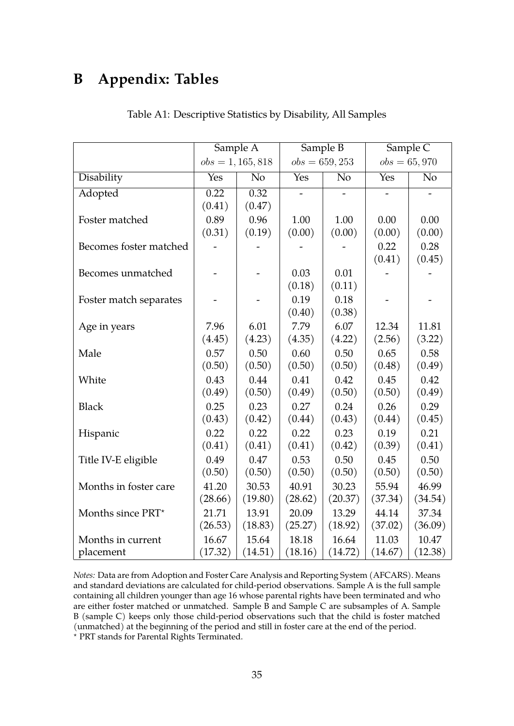# <span id="page-34-0"></span>**B Appendix: Tables**

|                        | Sample $\overline{A}$ |                | Sample B         |                | Sample $\overline{C}$ |                |
|------------------------|-----------------------|----------------|------------------|----------------|-----------------------|----------------|
|                        | $obs = 1, 165, 818$   |                | $obs = 659, 253$ |                | $obs = 65,970$        |                |
| Disability             | Yes                   | N <sub>o</sub> | Yes              | N <sub>o</sub> | Yes                   | N <sub>o</sub> |
| Adopted                | 0.22                  | 0.32           |                  |                |                       |                |
|                        | (0.41)                | (0.47)         |                  |                |                       |                |
| Foster matched         | 0.89                  | 0.96           | 1.00             | 1.00           | 0.00                  | 0.00           |
|                        | (0.31)                | (0.19)         | (0.00)           | (0.00)         | (0.00)                | (0.00)         |
| Becomes foster matched |                       |                |                  |                | 0.22                  | 0.28           |
|                        |                       |                |                  |                | (0.41)                | (0.45)         |
| Becomes unmatched      |                       |                | 0.03             | 0.01           |                       |                |
|                        |                       |                | (0.18)           | (0.11)         |                       |                |
| Foster match separates |                       |                | 0.19             | 0.18           |                       |                |
|                        |                       |                | (0.40)           | (0.38)         |                       |                |
| Age in years           | 7.96                  | 6.01           | 7.79             | 6.07           | 12.34                 | 11.81          |
|                        | (4.45)                | (4.23)         | (4.35)           | (4.22)         | (2.56)                | (3.22)         |
| Male                   | 0.57                  | 0.50           | 0.60             | 0.50           | 0.65                  | 0.58           |
|                        | (0.50)                | (0.50)         | (0.50)           | (0.50)         | (0.48)                | (0.49)         |
| White                  | 0.43                  | 0.44           | 0.41             | 0.42           | 0.45                  | 0.42           |
|                        | (0.49)                | (0.50)         | (0.49)           | (0.50)         | (0.50)                | (0.49)         |
| <b>Black</b>           | 0.25                  | 0.23           | 0.27             | 0.24           | 0.26                  | 0.29           |
|                        | (0.43)                | (0.42)         | (0.44)           | (0.43)         | (0.44)                | (0.45)         |
| Hispanic               | 0.22                  | 0.22           | 0.22             | 0.23           | 0.19                  | 0.21           |
|                        | (0.41)                | (0.41)         | (0.41)           | (0.42)         | (0.39)                | (0.41)         |
| Title IV-E eligible    | 0.49                  | 0.47           | 0.53             | 0.50           | 0.45                  | 0.50           |
|                        | (0.50)                | (0.50)         | (0.50)           | (0.50)         | (0.50)                | (0.50)         |
| Months in foster care  | 41.20                 | 30.53          | 40.91            | 30.23          | 55.94                 | 46.99          |
|                        | (28.66)               | (19.80)        | (28.62)          | (20.37)        | (37.34)               | (34.54)        |
| Months since PRT*      | 21.71                 | 13.91          | 20.09            | 13.29          | 44.14                 | 37.34          |
|                        | (26.53)               | (18.83)        | (25.27)          | (18.92)        | (37.02)               | (36.09)        |
| Months in current      | 16.67                 | 15.64          | 18.18            | 16.64          | 11.03                 | 10.47          |
| placement              | (17.32)               | (14.51)        | (18.16)          | (14.72)        | (14.67)               | (12.38)        |

Table A1: Descriptive Statistics by Disability, All Samples

*Notes:* Data are from Adoption and Foster Care Analysis and Reporting System (AFCARS). Means and standard deviations are calculated for child-period observations. Sample A is the full sample containing all children younger than age 16 whose parental rights have been terminated and who are either foster matched or unmatched. Sample B and Sample C are subsamples of A. Sample B (sample C) keeps only those child-period observations such that the child is foster matched (unmatched) at the beginning of the period and still in foster care at the end of the period.

? PRT stands for Parental Rights Terminated.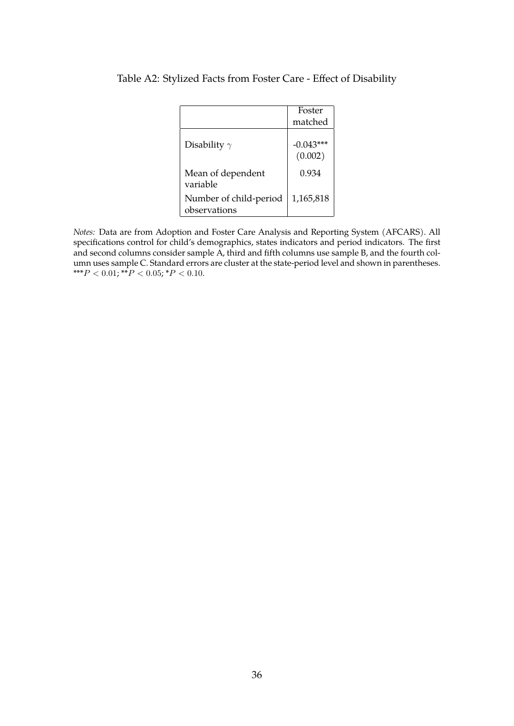|                                        | Foster                 |
|----------------------------------------|------------------------|
|                                        | matched                |
| Disability $\gamma$                    | $-0.043***$<br>(0.002) |
| Mean of dependent<br>variable          | 0.934                  |
| Number of child-period<br>observations | 1,165,818              |

### <span id="page-35-0"></span>Table A2: Stylized Facts from Foster Care - Effect of Disability

*Notes:* Data are from Adoption and Foster Care Analysis and Reporting System (AFCARS). All specifications control for child's demographics, states indicators and period indicators. The first and second columns consider sample A, third and fifth columns use sample B, and the fourth column uses sample C. Standard errors are cluster at the state-period level and shown in parentheses. \*\*\*P < 0.01;  $*^{\bullet}P$  < 0.05; \*P < 0.10.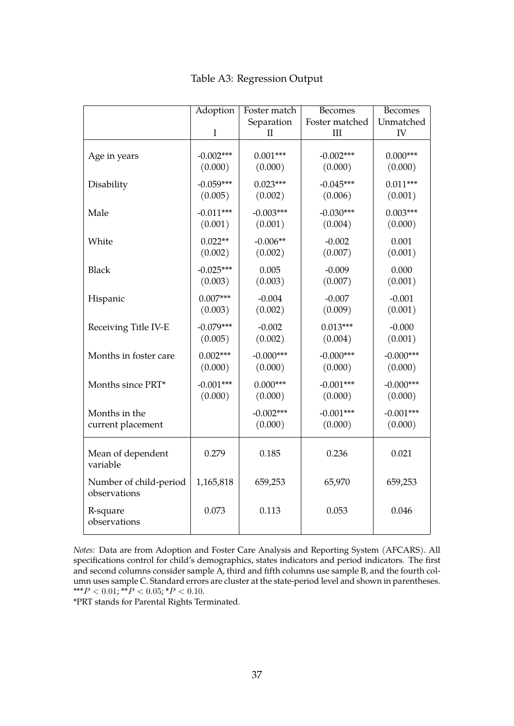<span id="page-36-0"></span>

|                                        | Adoption    | Foster match | <b>Becomes</b> | Becomes     |
|----------------------------------------|-------------|--------------|----------------|-------------|
|                                        |             | Separation   | Foster matched | Unmatched   |
|                                        | I           | П            | III            | IV          |
| Age in years                           | $-0.002***$ | $0.001***$   | $-0.002***$    | $0.000***$  |
|                                        | (0.000)     | (0.000)      | (0.000)        | (0.000)     |
| Disability                             | $-0.059***$ | $0.023***$   | $-0.045***$    | $0.011***$  |
|                                        | (0.005)     | (0.002)      | (0.006)        | (0.001)     |
| Male                                   | $-0.011***$ | $-0.003***$  | $-0.030***$    | $0.003***$  |
|                                        | (0.001)     | (0.001)      | (0.004)        | (0.000)     |
| White                                  | $0.022**$   | $-0.006**$   | $-0.002$       | 0.001       |
|                                        | (0.002)     | (0.002)      | (0.007)        | (0.001)     |
| <b>Black</b>                           | $-0.025***$ | 0.005        | $-0.009$       | 0.000       |
|                                        | (0.003)     | (0.003)      | (0.007)        | (0.001)     |
| Hispanic                               | $0.007***$  | $-0.004$     | $-0.007$       | $-0.001$    |
|                                        | (0.003)     | (0.002)      | (0.009)        | (0.001)     |
| Receiving Title IV-E                   | $-0.079***$ | $-0.002$     | $0.013***$     | $-0.000$    |
|                                        | (0.005)     | (0.002)      | (0.004)        | (0.001)     |
| Months in foster care                  | $0.002***$  | $-0.000***$  | $-0.000***$    | $-0.000***$ |
|                                        | (0.000)     | (0.000)      | (0.000)        | (0.000)     |
| Months since PRT*                      | $-0.001***$ | $0.000***$   | $-0.001***$    | $-0.000***$ |
|                                        | (0.000)     | (0.000)      | (0.000)        | (0.000)     |
| Months in the                          |             | $-0.002***$  | $-0.001***$    | $-0.001***$ |
| current placement                      |             | (0.000)      | (0.000)        | (0.000)     |
| Mean of dependent<br>variable          | 0.279       | 0.185        | 0.236          | 0.021       |
| Number of child-period<br>observations | 1,165,818   | 659,253      | 65,970         | 659,253     |
| R-square<br>observations               | 0.073       | 0.113        | 0.053          | 0.046       |

Table A3: Regression Output

*Notes:* Data are from Adoption and Foster Care Analysis and Reporting System (AFCARS). All specifications control for child's demographics, states indicators and period indicators. The first and second columns consider sample A, third and fifth columns use sample B, and the fourth column uses sample C. Standard errors are cluster at the state-period level and shown in parentheses. \*\*\* $P < 0.01$ ; \*\* $P < 0.05$ ; \* $P < 0.10$ .

\*PRT stands for Parental Rights Terminated.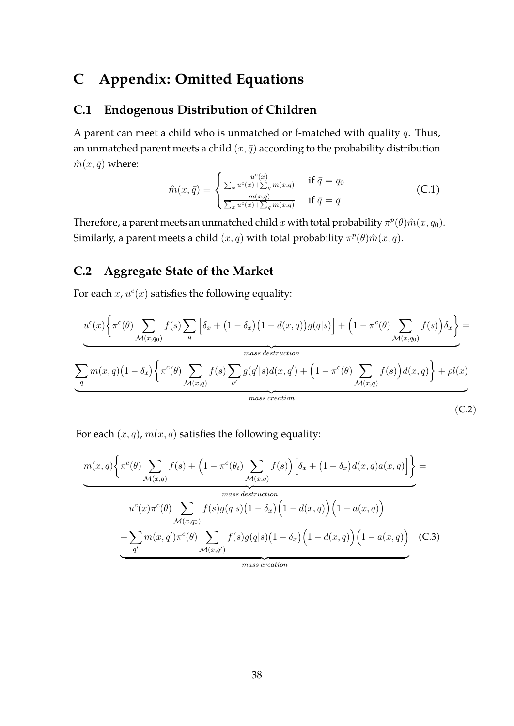# **C Appendix: Omitted Equations**

## <span id="page-37-0"></span>**C.1 Endogenous Distribution of Children**

A parent can meet a child who is unmatched or f-matched with quality  $q$ . Thus, an unmatched parent meets a child  $(x, \bar{q})$  according to the probability distribution  $\hat{m}(x, \bar{q})$  where:

$$
\hat{m}(x,\bar{q}) = \begin{cases}\n\frac{u^c(x)}{\sum_x u^c(x) + \sum_q m(x,q)} & \text{if } \bar{q} = q_0 \\
\frac{m(x,q)}{\sum_x u^c(x) + \sum_q m(x,q)} & \text{if } \bar{q} = q\n\end{cases}
$$
\n(C.1)

Therefore, a parent meets an unmatched child  $x$  with total probability  $\pi^p(\theta) \hat{m}(x,q_0)$ . Similarly, a parent meets a child  $(x, q)$  with total probability  $\pi^p(\theta) \hat{m}(x, q)$ .

## <span id="page-37-1"></span>**C.2 Aggregate State of the Market**

For each  $x$ ,  $u^c(x)$  satisfies the following equality:

$$
\underbrace{u^c(x)\left\{\pi^c(\theta)\sum_{\mathcal{M}(x,q_0)}f(s)\sum_q\left[\delta_x+\left(1-\delta_x\right)\left(1-d(x,q)\right)g(q|s)\right]+\left(1-\pi^c(\theta)\sum_{\mathcal{M}(x,q_0)}f(s)\right)\delta_x\right\}}_{mass\, destruction}
$$
\n
$$
\underbrace{\sum_q m(x,q)\left(1-\delta_x\right)\left\{\pi^c(\theta)\sum_{\mathcal{M}(x,q)}f(s)\sum_{q'}g(q'|s)d(x,q')+\left(1-\pi^c(\theta)\sum_{\mathcal{M}(x,q)}f(s)\right)d(x,q)\right\}+\rho l(x)}_{mass\,creation}
$$
\n(C.2)

For each  $(x, q)$ ,  $m(x, q)$  satisfies the following equality:

$$
m(x,q)\left\{\pi^{c}(\theta)\sum_{\mathcal{M}(x,q)}f(s)+\left(1-\pi^{c}(\theta_{t})\sum_{\mathcal{M}(x,q)}f(s)\right)\left[\delta_{x}+(1-\delta_{x})d(x,q)a(x,q)\right]\right\}=\n\overset{mass\,distribution}{\longrightarrow}\n\frac{u^{c}(x)\pi^{c}(\theta)\sum_{\mathcal{M}(x,q_{0})}f(s)g(q|s)\left(1-\delta_{x}\right)\left(1-d(x,q)\right)\left(1-a(x,q)\right)}{\times\left(\frac{q'}{q'}\right)\pi^{c}(\theta)\sum_{\mathcal{M}(x,q')}f(s)g(q|s)\left(1-\delta_{x}\right)\left(1-d(x,q)\right)\left(1-a(x,q)\right)}\n\overset{\text{(C.3)}}{\longrightarrow}\n\overset{\text{(C.3)}}{\longrightarrow}\n\overset{\text{(D.4)}}{\longrightarrow}\n\frac{u^{c}(x)}{q'}\left(\frac{1}{\mathcal{M}(x,q')}\right)
$$

<span id="page-37-3"></span><span id="page-37-2"></span>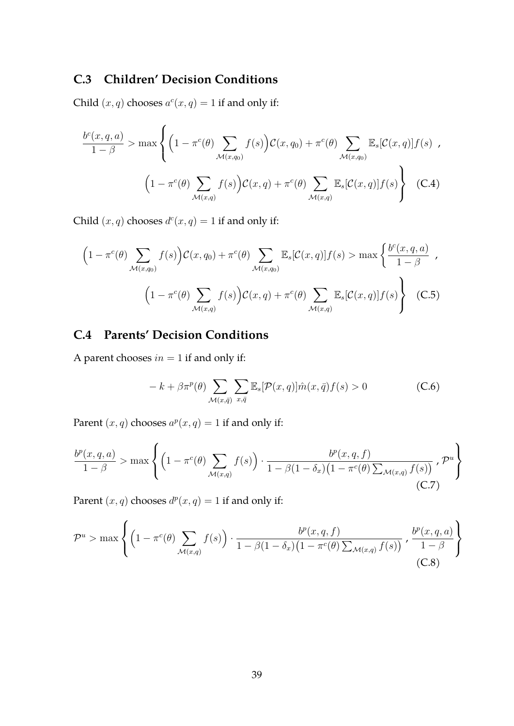## **C.3 Children' Decision Conditions**

Child  $(x, q)$  chooses  $a^c(x, q) = 1$  if and only if:

<span id="page-38-0"></span>
$$
\frac{b^{c}(x, q, a)}{1 - \beta} > \max \left\{ \left( 1 - \pi^{c}(\theta) \sum_{\mathcal{M}(x, q_{0})} f(s) \right) \mathcal{C}(x, q_{0}) + \pi^{c}(\theta) \sum_{\mathcal{M}(x, q_{0})} \mathbb{E}_{s}[\mathcal{C}(x, q)] f(s) \right\}
$$
\n
$$
\left( 1 - \pi^{c}(\theta) \sum_{\mathcal{M}(x, q)} f(s) \right) \mathcal{C}(x, q) + \pi^{c}(\theta) \sum_{\mathcal{M}(x, q)} \mathbb{E}_{s}[\mathcal{C}(x, q)] f(s) \right\} \quad \text{(C.4)}
$$

Child  $(x, q)$  chooses  $d^c(x, q) = 1$  if and only if:

$$
\left(1 - \pi^{c}(\theta) \sum_{\mathcal{M}(x,q_{0})} f(s)\right) \mathcal{C}(x,q_{0}) + \pi^{c}(\theta) \sum_{\mathcal{M}(x,q_{0})} \mathbb{E}_{s}[\mathcal{C}(x,q)]f(s) > \max\left\{\frac{b^{c}(x,q,a)}{1-\beta},\right\}
$$
\n
$$
\left(1 - \pi^{c}(\theta) \sum_{\mathcal{M}(x,q)} f(s)\right) \mathcal{C}(x,q) + \pi^{c}(\theta) \sum_{\mathcal{M}(x,q)} \mathbb{E}_{s}[\mathcal{C}(x,q)]f(s)\right\}
$$
\n(C.5)

## **C.4 Parents' Decision Conditions**

A parent chooses  $in = 1$  if and only if:

<span id="page-38-2"></span><span id="page-38-1"></span>
$$
-k + \beta \pi^{p}(\theta) \sum_{\mathcal{M}(x,\bar{q})} \sum_{x,\bar{q}} \mathbb{E}_{s}[\mathcal{P}(x,q)] \hat{m}(x,\bar{q}) f(s) > 0
$$
 (C.6)

Parent  $(x, q)$  chooses  $a^p(x, q) = 1$  if and only if:

<span id="page-38-3"></span>
$$
\frac{b^p(x,q,a)}{1-\beta} > \max\left\{ \left(1 - \pi^c(\theta) \sum_{\mathcal{M}(x,q)} f(s) \right) \cdot \frac{b^p(x,q,f)}{1 - \beta(1 - \delta_x)(1 - \pi^c(\theta) \sum_{\mathcal{M}(x,q)} f(s))}, \mathcal{P}^u \right\}
$$
(C.7)

Parent  $(x, q)$  chooses  $d^p(x, q) = 1$  if and only if:

<span id="page-38-4"></span>
$$
\mathcal{P}^u > \max \left\{ \left(1 - \pi^c(\theta) \sum_{\mathcal{M}(x,q)} f(s)\right) \cdot \frac{b^p(x,q,f)}{1 - \beta(1 - \delta_x)\left(1 - \pi^c(\theta) \sum_{\mathcal{M}(x,q)} f(s)\right)}, \frac{b^p(x,q,a)}{1 - \beta} \right\}
$$
(C.8)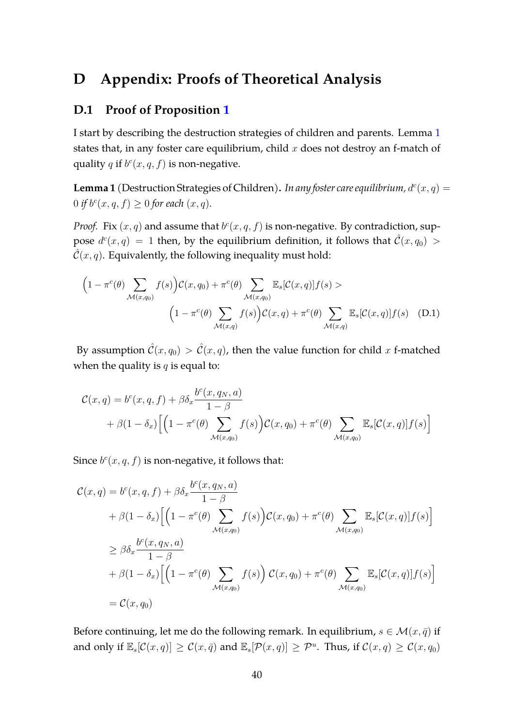# **D Appendix: Proofs of Theoretical Analysis**

### <span id="page-39-0"></span>**D.1 Proof of Proposition [1](#page-19-1)**

I start by describing the destruction strategies of children and parents. Lemma [1](#page-39-1) states that, in any foster care equilibrium, child  $x$  does not destroy an f-match of quality q if  $b^c(x, q, f)$  is non-negative.

<span id="page-39-1"></span>**Lemma 1** (Destruction Strategies of Children). In any foster care equilibrium,  $d^c(x, q) =$ 0 *if*  $b^{c}(x, q, f) \ge 0$  *for each*  $(x, q)$ *.* 

*Proof.* Fix  $(x, q)$  and assume that  $b^c(x, q, f)$  is non-negative. By contradiction, suppose  $d^c(x,q) = 1$  then, by the equilibrium definition, it follows that  $\hat{\mathcal{C}}(x,q_0) >$  $\hat{\mathcal{C}}(x,q)$ . Equivalently, the following inequality must hold:

<span id="page-39-2"></span>
$$
\left(1 - \pi^{c}(\theta) \sum_{\mathcal{M}(x,q_{0})} f(s)\right) \mathcal{C}(x,q_{0}) + \pi^{c}(\theta) \sum_{\mathcal{M}(x,q_{0})} \mathbb{E}_{s}[\mathcal{C}(x,q)]f(s) >
$$

$$
\left(1 - \pi^{c}(\theta) \sum_{\mathcal{M}(x,q)} f(s)\right) \mathcal{C}(x,q) + \pi^{c}(\theta) \sum_{\mathcal{M}(x,q)} \mathbb{E}_{s}[\mathcal{C}(x,q)]f(s) \quad (D.1)
$$

By assumption  $\hat{\mathcal{C}}(x,q_0) > \hat{\mathcal{C}}(x,q)$ , then the value function for child x f-matched when the quality is  $q$  is equal to:

$$
\mathcal{C}(x,q) = b^c(x,q,f) + \beta \delta_x \frac{b^c(x,q_N,a)}{1-\beta} \n+ \beta(1-\delta_x) \Big[ \Big(1-\pi^c(\theta) \sum_{\mathcal{M}(x,q_0)} f(s) \Big) \mathcal{C}(x,q_0) + \pi^c(\theta) \sum_{\mathcal{M}(x,q_0)} \mathbb{E}_s[\mathcal{C}(x,q)] f(s) \Big]
$$

Since  $b^c(x, q, f)$  is non-negative, it follows that:

$$
\mathcal{C}(x,q) = b^{c}(x,q,f) + \beta \delta_{x} \frac{b^{c}(x,q_{N},a)}{1-\beta}
$$
  
+  $\beta(1-\delta_{x}) \Big[ \Big(1-\pi^{c}(\theta) \sum_{\mathcal{M}(x,q_{0})} f(s) \Big) \mathcal{C}(x,q_{0}) + \pi^{c}(\theta) \sum_{\mathcal{M}(x,q_{0})} \mathbb{E}_{s}[\mathcal{C}(x,q)]f(s) \Big]$   

$$
\geq \beta \delta_{x} \frac{b^{c}(x,q_{N},a)}{1-\beta}
$$
  
+  $\beta(1-\delta_{x}) \Big[ \Big(1-\pi^{c}(\theta) \sum_{\mathcal{M}(x,q_{0})} f(s) \Big) \mathcal{C}(x,q_{0}) + \pi^{c}(\theta) \sum_{\mathcal{M}(x,q_{0})} \mathbb{E}_{s}[\mathcal{C}(x,q)]f(s) \Big]$   
=  $\mathcal{C}(x,q_{0})$ 

Before continuing, let me do the following remark. In equilibrium,  $s \in \mathcal{M}(x, \bar{q})$  if and only if  $\mathbb{E}_s[\mathcal{C}(x,q)] \ge \mathcal{C}(x,\bar{q})$  and  $\mathbb{E}_s[\mathcal{P}(x,q)] \ge \mathcal{P}^u$ . Thus, if  $\mathcal{C}(x,q) \ge \mathcal{C}(x,q_0)$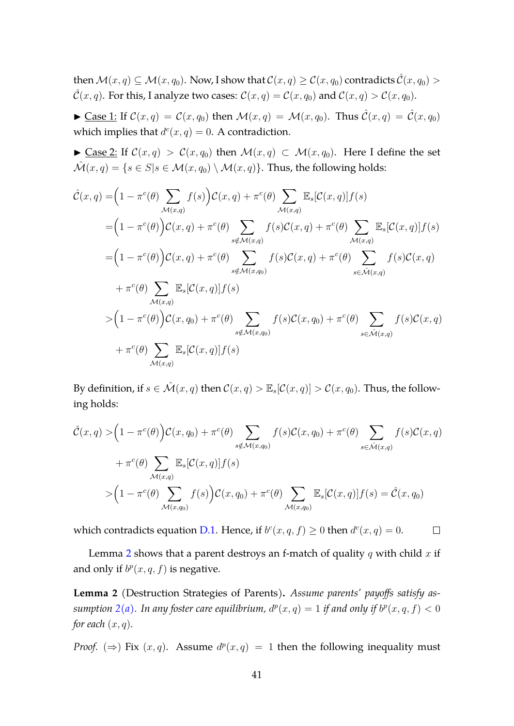then  $\mathcal{M}(x, q) \subset \mathcal{M}(x, q_0)$ . Now, I show that  $\mathcal{C}(x, q) > \mathcal{C}(x, q_0)$  contradicts  $\hat{\mathcal{C}}(x, q_0)$  $\hat{\mathcal{C}}(x,q)$ . For this, I analyze two cases:  $\mathcal{C}(x,q) = \mathcal{C}(x,q_0)$  and  $\mathcal{C}(x,q) > \mathcal{C}(x,q_0)$ .

 $\blacktriangleright$  Case 1: If  $\mathcal{C}(x,q) = \mathcal{C}(x,q_0)$  then  $\mathcal{M}(x,q) = \mathcal{M}(x,q_0)$ . Thus  $\hat{\mathcal{C}}(x,q) = \hat{\mathcal{C}}(x,q_0)$ which implies that  $d^c(x,q) = 0$ . A contradiction.

 $\blacktriangleright$  Case 2: If  $\mathcal{C}(x,q) > \mathcal{C}(x,q_0)$  then  $\mathcal{M}(x,q) \subset \mathcal{M}(x,q_0)$ . Here I define the set  $\hat{\mathcal{M}}(x,q) = \{s \in S | s \in \mathcal{M}(x,q_0) \setminus \mathcal{M}(x,q)\}.$  Thus, the following holds:

$$
\hat{\mathcal{C}}(x,q) = \left(1 - \pi^{c}(\theta)\sum_{\mathcal{M}(x,q)}f(s)\right)\mathcal{C}(x,q) + \pi^{c}(\theta)\sum_{\mathcal{M}(x,q)}\mathbb{E}_{s}[\mathcal{C}(x,q)]f(s)
$$
\n
$$
= \left(1 - \pi^{c}(\theta)\right)\mathcal{C}(x,q) + \pi^{c}(\theta)\sum_{s\notin\mathcal{M}(x,q)}f(s)\mathcal{C}(x,q) + \pi^{c}(\theta)\sum_{\mathcal{M}(x,q)}\mathbb{E}_{s}[\mathcal{C}(x,q)]f(s)
$$
\n
$$
= \left(1 - \pi^{c}(\theta)\right)\mathcal{C}(x,q) + \pi^{c}(\theta)\sum_{s\notin\mathcal{M}(x,q_0)}f(s)\mathcal{C}(x,q) + \pi^{c}(\theta)\sum_{s\in\mathcal{M}(x,q)}f(s)\mathcal{C}(x,q)
$$
\n
$$
+ \pi^{c}(\theta)\sum_{\mathcal{M}(x,q)}\mathbb{E}_{s}[\mathcal{C}(x,q)]f(s)
$$
\n
$$
> \left(1 - \pi^{c}(\theta)\right)\mathcal{C}(x,q_{0}) + \pi^{c}(\theta)\sum_{s\notin\mathcal{M}(x,q_0)}f(s)\mathcal{C}(x,q_{0}) + \pi^{c}(\theta)\sum_{s\in\mathcal{M}(x,q)}f(s)\mathcal{C}(x,q)
$$
\n
$$
+ \pi^{c}(\theta)\sum_{\mathcal{M}(x,q)}\mathbb{E}_{s}[\mathcal{C}(x,q)]f(s)
$$

By definition, if  $s \in \mathcal{M}(x, q)$  then  $\mathcal{C}(x, q) > \mathbb{E}_s[\mathcal{C}(x, q)] > \mathcal{C}(x, q_0)$ . Thus, the following holds:

$$
\hat{\mathcal{C}}(x,q) > (1 - \pi^c(\theta))\mathcal{C}(x,q_0) + \pi^c(\theta)\sum_{s \notin \mathcal{M}(x,q_0)} f(s)\mathcal{C}(x,q_0) + \pi^c(\theta)\sum_{s \in \hat{\mathcal{M}}(x,q)} f(s)\mathcal{C}(x,q) \n+ \pi^c(\theta)\sum_{\mathcal{M}(x,q)} \mathbb{E}_s[\mathcal{C}(x,q)]f(s) \n> (1 - \pi^c(\theta)\sum_{\mathcal{M}(x,q_0)} f(s)\mathcal{C}(x,q_0) + \pi^c(\theta)\sum_{\mathcal{M}(x,q_0)} \mathbb{E}_s[\mathcal{C}(x,q)]f(s) = \hat{\mathcal{C}}(x,q_0)
$$

which contradicts equation [D.1.](#page-39-2) Hence, if  $b^c(x, q, f) \ge 0$  then  $d^c(x, q) = 0$ .  $\Box$ 

Lemma [2](#page-40-0) shows that a parent destroys an f-match of quality q with child  $x$  if and only if  $b^p(x, q, f)$  is negative.

<span id="page-40-0"></span>**Lemma 2** (Destruction Strategies of Parents)**.** *Assume parents' payoffs satisfy as-*sumption [2](#page-0-0)[\(a\).](#page-13-0) In any foster care equilibrium,  $d^p(x,q) = 1$  if and only if  $b^p(x,q,f) < 0$ *for each*  $(x, q)$ *.* 

*Proof.* ( $\Rightarrow$ ) Fix  $(x, q)$ . Assume  $d^p(x,q) = 1$  then the following inequality must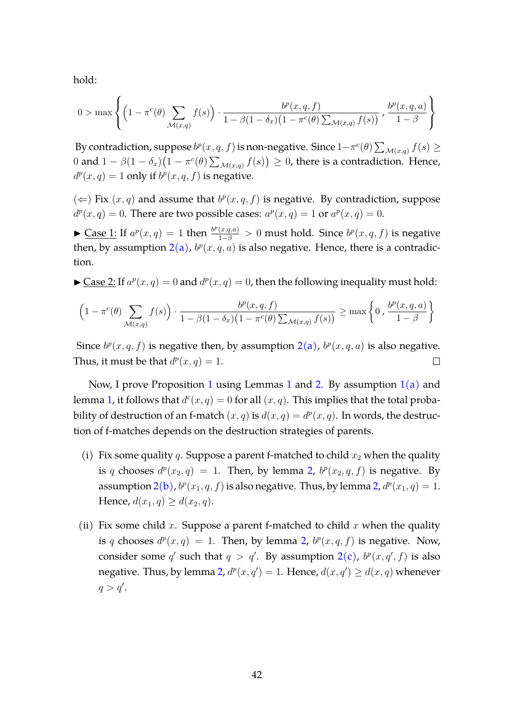hold:

$$
0 > \max \left\{ \left(1 - \pi^{c}(\theta) \sum_{\mathcal{M}(x,q)} f(s)\right) \cdot \frac{b^{p}(x,q,f)}{1 - \beta(1 - \delta_{x})(1 - \pi^{c}(\theta) \sum_{\mathcal{M}(x,q)} f(s))}, \frac{b^{p}(x,q,a)}{1 - \beta} \right\}
$$

By contradiction, suppose  $b^p(x, q, f)$  is non-negative. Since  $1-\pi^c(\theta) \sum_{\mathcal{M}(x,q)} f(s) \geq$ 0 and  $1 - \beta(1 - \delta_x)(1 - \pi^c(\theta) \sum_{\mathcal{M}(x,q)} f(s)) \geq 0$ , there is a contradiction. Hence,  $d^p(x,q) = 1$  only if  $b^p(x,q,f)$  is negative.

(  $\Leftarrow$  ) Fix (*x*, *q*) and assume that  $b^p(x, q, f)$  is negative. By contradiction, suppose  $d^p(x,q) = 0$ . There are two possible cases:  $a^p(x,q) = 1$  or  $a^p(x,q) = 0$ .

► Case 1: If  $a^p(x,q) = 1$  then  $\frac{b^p(x,q,a)}{1-\beta} > 0$  must hold. Since  $b^p(x,q,f)$  is negative then, by assumption  $2(a)$  $2(a)$ ,  $b^p(x, q, a)$  is also negative. Hence, there is a contradiction.

 $\blacktriangleright$  Case 2: If  $a^p(x,q) = 0$  and  $d^p(x,q) = 0$ , then the following inequality must hold:

$$
\left(1 - \pi^{c}(\theta) \sum_{\mathcal{M}(x,q)} f(s)\right) \cdot \frac{b^{p}(x,q,f)}{1 - \beta(1 - \delta_{x})(1 - \pi^{c}(\theta) \sum_{\mathcal{M}(x,q)} f(s))} \ge \max\left\{0, \frac{b^{p}(x,q,a)}{1 - \beta}\right\}
$$

Since  $b^p(x, q, f)$  is negative then, by assumption  $2(a)$  $2(a)$ ,  $b^p(x, q, a)$  is also negative. Thus, it must be that  $d^p(x,q) = 1$ . П

Now, I prove Proposition [1](#page-0-0) using Lemmas 1 and [2.](#page-40-0) By assumption  $1(a)$  $1(a)$  and lemma [1,](#page-39-1) it follows that  $d^c(x,q) = 0$  for all  $(x,q)$ . This implies that the total probability of destruction of an f-match  $(x, q)$  is  $d(x, q) = d^p(x, q)$ . In words, the destruction of f-matches depends on the destruction strategies of parents.

- (i) Fix some quality q. Suppose a parent f-matched to child  $x_2$  when the quality is q chooses  $d^p(x_2, q) = 1$  $d^p(x_2, q) = 1$  $d^p(x_2, q) = 1$ . Then, by lemma 2,  $b^p(x_2, q, f)$  is negative. By assumption  $2(b)$  $2(b)$ ,  $b^p(x_1, q, f)$  is also negative. Thus, by lemma [2,](#page-40-0)  $d^p(x_1, q) = 1$ . Hence,  $d(x_1, q) \geq d(x_2, q)$ .
- (ii) Fix some child x. Suppose a parent f-matched to child x when the quality is q chooses  $d^p(x,q) = 1$ . Then, by lemma [2,](#page-40-0)  $b^p(x,q,f)$  is negative. Now, consider some q' such that  $q > q'$ . By assumption  $2(c)$  $2(c)$ ,  $b^p(x, q', f)$  is also negative. Thus, by lemma [2,](#page-40-0)  $d^p(x,q') = 1$ . Hence,  $d(x,q') \geq d(x,q)$  whenever  $q > q'.$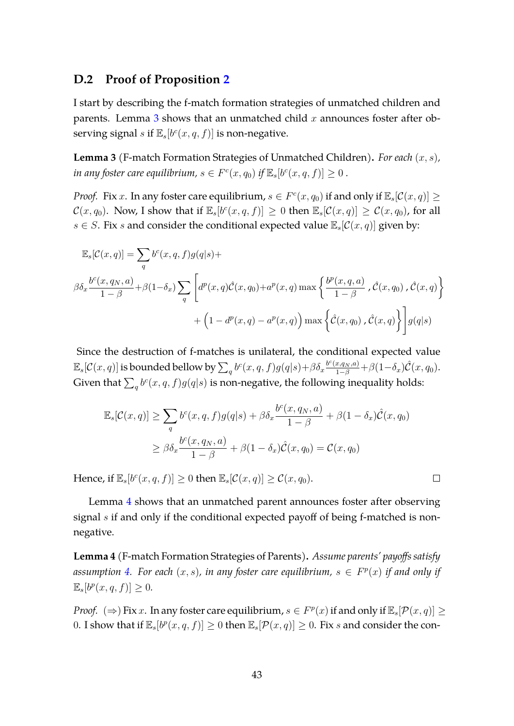### <span id="page-42-0"></span>**D.2 Proof of Proposition [2](#page-20-1)**

I start by describing the f-match formation strategies of unmatched children and parents. Lemma  $3$  shows that an unmatched child  $x$  announces foster after observing signal s if  $\mathbb{E}_s[b^c(x, q, f)]$  is non-negative.

<span id="page-42-1"></span>**Lemma 3** (F-match Formation Strategies of Unmatched Children)**.** *For each* (x, s)*, in any foster care equilibrium,*  $s \in F^c(x, q_0)$  *if*  $\mathbb{E}_s[b^c(x, q, f)] \ge 0$ .

*Proof.* Fix x. In any foster care equilibrium,  $s \in F^c(x, q_0)$  if and only if  $\mathbb{E}_s[\mathcal{C}(x, q)] \geq 0$  $\mathcal{C}(x,q_0)$ . Now, I show that if  $\mathbb{E}_s[b^c(x,q,f)] \geq 0$  then  $\mathbb{E}_s[\mathcal{C}(x,q)] \geq \mathcal{C}(x,q_0)$ , for all  $s \in S$ . Fix s and consider the conditional expected value  $\mathbb{E}_s[\mathcal{C}(x, q)]$  given by:

$$
\mathbb{E}_{s}[\mathcal{C}(x,q)] = \sum_{q} b^{c}(x,q,f)g(q|s) +
$$
  

$$
\beta \delta_{x} \frac{b^{c}(x,q_{N},a)}{1-\beta} + \beta(1-\delta_{x}) \sum_{q} \left[ d^{p}(x,q)\hat{\mathcal{C}}(x,q_{0}) + a^{p}(x,q) \max\left\{ \frac{b^{p}(x,q,a)}{1-\beta}, \hat{\mathcal{C}}(x,q_{0}), \hat{\mathcal{C}}(x,q) \right\} + (1-d^{p}(x,q) - a^{p}(x,q)) \max\left\{ \hat{\mathcal{C}}(x,q_{0}), \hat{\mathcal{C}}(x,q) \right\} \right] g(q|s)
$$

Since the destruction of f-matches is unilateral, the conditional expected value  $\mathbb{E}_s[\mathcal{C}(x,q)]$  is bounded bellow by  $\sum_q b^c(x,q,f)g(q|s)+\beta\delta_x \frac{b^c(x,q_N,a)}{1-\beta}+\beta(1-\delta_x)\hat{\mathcal{C}}(x,q_0).$ Given that  $\sum_q b^c(x,q,f)g(q|s)$  is non-negative, the following inequality holds:

$$
\mathbb{E}_{s}[\mathcal{C}(x,q)] \geq \sum_{q} b^{c}(x,q,f)g(q|s) + \beta \delta_{x} \frac{b^{c}(x,q_{N},a)}{1-\beta} + \beta(1-\delta_{x})\hat{\mathcal{C}}(x,q_{0})
$$

$$
\geq \beta \delta_{x} \frac{b^{c}(x,q_{N},a)}{1-\beta} + \beta(1-\delta_{x})\hat{\mathcal{C}}(x,q_{0}) = \mathcal{C}(x,q_{0})
$$

Hence, if  $\mathbb{E}_s[b^c(x, q, f)] \ge 0$  then  $\mathbb{E}_s[\mathcal{C}(x, q)] \ge \mathcal{C}(x, q_0)$ .

Lemma [4](#page-42-2) shows that an unmatched parent announces foster after observing signal s if and only if the conditional expected payoff of being f-matched is nonnegative.

 $\Box$ 

<span id="page-42-2"></span>**Lemma 4** (F-match Formation Strategies of Parents)**.** *Assume parents' payoffs satisfy* assumption [4.](#page-20-0) For each  $(x, s)$ , in any foster care equilibrium,  $s \in F<sup>p</sup>(x)$  if and only if  $\mathbb{E}_s[b^p(x, q, f)] \geq 0.$ 

*Proof.*  $(\Rightarrow)$  Fix x. In any foster care equilibrium,  $s \in F^p(x)$  if and only if  $\mathbb{E}_s[\mathcal{P}(x, q)] \geq 0$ 0. I show that if  $\mathbb{E}_s[b^p(x, q, f)] \ge 0$  then  $\mathbb{E}_s[\mathcal{P}(x, q)] \ge 0$ . Fix s and consider the con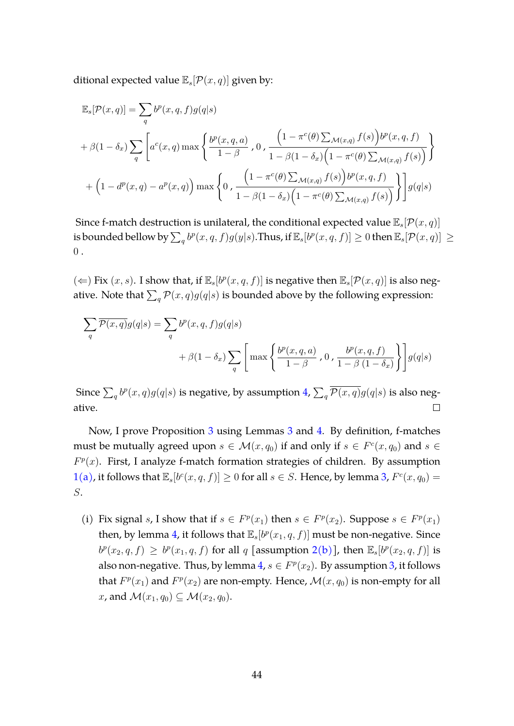ditional expected value  $\mathbb{E}_s[\mathcal{P}(x, q)]$  given by:

$$
\mathbb{E}_{s}[\mathcal{P}(x,q)] = \sum_{q} b^{p}(x,q,f)g(q|s)
$$
  
+  $\beta(1-\delta_{x})\sum_{q} \left[a^{c}(x,q) \max\left\{\frac{b^{p}(x,q,a)}{1-\beta},0,\frac{\left(1-\pi^{c}(\theta)\sum_{\mathcal{M}(x,q)}f(s)\right)b^{p}(x,q,f)}{1-\beta(1-\delta_{x})\left(1-\pi^{c}(\theta)\sum_{\mathcal{M}(x,q)}f(s)\right)}\right\}$   
+  $\left(1-d^{p}(x,q)-a^{p}(x,q)\right)\max\left\{0,\frac{\left(1-\pi^{c}(\theta)\sum_{\mathcal{M}(x,q)}f(s)\right)b^{p}(x,q,f)}{1-\beta(1-\delta_{x})\left(1-\pi^{c}(\theta)\sum_{\mathcal{M}(x,q)}f(s)\right)}\right\}g(q|s)$ 

Since f-match destruction is unilateral, the conditional expected value  $\mathbb{E}_s[\mathcal{P}(x, q)]$ is bounded bellow by  $\sum_q b^p(x,q,f)g(y|s).$  Thus, if  $\mathbb{E}_s[b^p(x,q,f)]\geq 0$  then  $\mathbb{E}_s[\mathcal{P}(x,q)]\geq 0$  $0$ .

( ← ) Fix  $(x, s)$ . I show that, if  $\mathbb{E}_s[b^p(x, q, f)]$  is negative then  $\mathbb{E}_s[\mathcal{P}(x, q)]$  is also negative. Note that  $\sum_q \mathcal{P}(x,q) g(q|s)$  is bounded above by the following expression:

$$
\sum_{q} \overline{\mathcal{P}(x,q)} g(q|s) = \sum_{q} b^{p}(x,q,f)g(q|s)
$$
  
+  $\beta(1-\delta_x) \sum_{q} \left[ \max \left\{ \frac{b^{p}(x,q,a)}{1-\beta}, 0, \frac{b^{p}(x,q,f)}{1-\beta(1-\delta_x)} \right\} \right] g(q|s)$ 

Since  $\sum_q b^p(x,q)g(q|s)$  is negative, by assumption [4,](#page-20-0)  $\sum_q \overline{\mathcal{P}(x,q)}g(q|s)$  is also negative.  $\Box$ 

Now, I prove Proposition [3](#page-21-0) using Lemmas [3](#page-42-1) and [4.](#page-42-2) By definition, f-matches must be mutually agreed upon  $s \in \mathcal{M}(x,q_0)$  if and only if  $s \in F^c(x,q_0)$  and  $s \in F^c(x,q_0)$  $F<sup>p</sup>(x)$ . First, I analyze f-match formation strategies of children. By assumption  $1(a)$  $1(a)$ , it follows that  $\mathbb{E}_s[b^c(x, q, f)] \ge 0$  for all  $s \in S$ . Hence, by lemma [3,](#page-42-1)  $F^c(x, q_0) =$ S.

(i) Fix signal s, I show that if  $s \in F^p(x_1)$  then  $s \in F^p(x_2)$ . Suppose  $s \in F^p(x_1)$ then, by lemma [4,](#page-42-2) it follows that  $\mathbb{E}_s[b^p(x_1, q, f)]$  must be non-negative. Since  $b^p(x_2, q, f) \geq b^p(x_1, q, f)$  $b^p(x_2, q, f) \geq b^p(x_1, q, f)$  $b^p(x_2, q, f) \geq b^p(x_1, q, f)$  for all q [assumption 2[\(b\)\]](#page-13-1), then  $\mathbb{E}_s[b^p(x_2, q, f)]$  is also non-negative. Thus, by lemma  $4$ ,  $s \in F^p(x_2)$ . By assumption [3,](#page-19-3) it follows that  $F^p(x_1)$  and  $F^p(x_2)$  are non-empty. Hence,  $\mathcal{M}(x, q_0)$  is non-empty for all x, and  $\mathcal{M}(x_1, q_0) \subseteq \mathcal{M}(x_2, q_0)$ .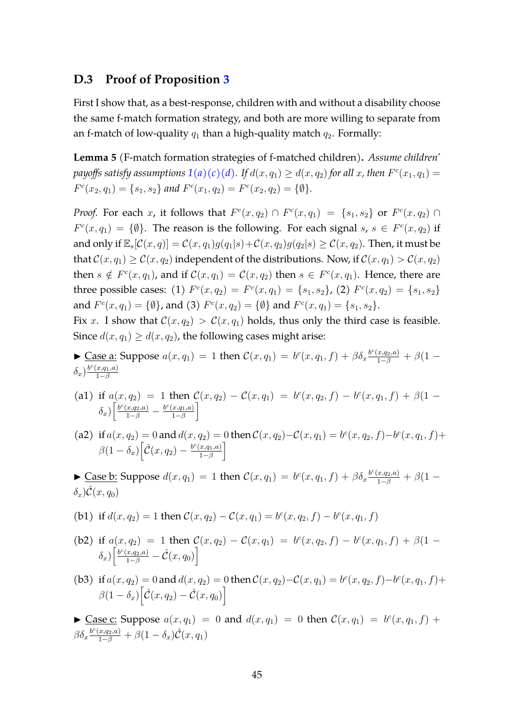### <span id="page-44-0"></span>**D.3 Proof of Proposition [3](#page-21-0)**

First I show that, as a best-response, children with and without a disability choose the same f-match formation strategy, and both are more willing to separate from an f-match of low-quality  $q_1$  than a high-quality match  $q_2$ . Formally:

<span id="page-44-1"></span>**Lemma 5** (F-match formation strategies of f-matched children)**.** *Assume children'* payoffs satisfy assumptions  $1(a)(c)(d)$  $1(a)(c)(d)$  $1(a)(c)(d)$  $1(a)(c)(d)$ . If  $d(x, q_1) \ge d(x, q_2)$  for all  $x$ , then  $F^c(x_1, q_1) =$  $F^{c}(x_2, q_1) = \{s_1, s_2\}$  and  $F^{c}(x_1, q_2) = F^{c}(x_2, q_2) = \{\emptyset\}.$ 

*Proof.* For each x, it follows that  $F^c(x,q_2) \cap F^c(x,q_1) = \{s_1,s_2\}$  or  $F^c(x,q_2) \cap F^c(x,q_3)$  $F^c(x, q_1) = \{\emptyset\}.$  The reason is the following. For each signal  $s, s \in F^c(x, q_2)$  if and only if  $\mathbb{E}_s[\mathcal{C}(x,q)] = \mathcal{C}(x,q_1)g(q_1|s) + \mathcal{C}(x,q_2)g(q_2|s) \geq \mathcal{C}(x,q_2)$ . Then, it must be that  $\mathcal{C}(x,q_1) > \mathcal{C}(x,q_2)$  independent of the distributions. Now, if  $\mathcal{C}(x,q_1) > \mathcal{C}(x,q_2)$ then  $s \notin F^c(x,q_1)$ , and if  $\mathcal{C}(x,q_1) = \mathcal{C}(x,q_2)$  then  $s \in F^c(x,q_1)$ . Hence, there are three possible cases: (1)  $F^c(x,q_2) = F^c(x,q_1) = \{s_1,s_2\}$ , (2)  $F^c(x,q_2) = \{s_1,s_2\}$ and  $F^c(x,q_1) = \{\emptyset\}$ , and (3)  $F^c(x,q_2) = \{\emptyset\}$  and  $F^c(x,q_1) = \{s_1, s_2\}.$ 

Fix x. I show that  $\mathcal{C}(x, q_2) > \mathcal{C}(x, q_1)$  holds, thus only the third case is feasible. Since  $d(x, q_1) \geq d(x, q_2)$ , the following cases might arise:

- ► Case a: Suppose  $a(x, q_1) = 1$  then  $C(x, q_1) = b^c(x, q_1, f) + \beta \delta_x \frac{b^c(x, q_2, a)}{1 \beta} + \beta (1 \delta_x)^{\frac{b^c(x,q_1,a)}{1-\beta}}$  $1-\beta$
- (a1) if  $a(x, q_2) = 1$  then  $\mathcal{C}(x, q_2) \mathcal{C}(x, q_1) = b^c(x, q_2, f) b^c(x, q_1, f) + \beta(1 \delta_x)\Big[\frac{b^c(x,q_2,a)}{1-\beta}-\frac{b^c(x,q_1,a)}{1-\beta}$  $\left[\frac{x,q_1,a)}{1-\beta}\right]$
- (a2) if  $a(x, q_2) = 0$  and  $d(x, q_2) = 0$  then  $C(x, q_2) C(x, q_1) = b^c(x, q_2, f) b^c(x, q_1, f) +$  $\beta(1-\delta_x)\Big[\hat{\mathcal{C}}(x,q_2)-\frac{b^c(x,q_1,a)}{1-\beta}\Big]$  $\left[\frac{x,q_1,a)}{1-\beta}\right]$
- ► Case b: Suppose  $d(x, q_1) = 1$  then  $C(x, q_1) = b^c(x, q_1, f) + \beta \delta_x \frac{b^c(x, q_2, a)}{1 \beta} + \beta (1 (\delta_x)\hat{\mathcal{C}}(x,q_0)$

(b1) if 
$$
d(x, q_2) = 1
$$
 then  $C(x, q_2) - C(x, q_1) = b^c(x, q_2, f) - b^c(x, q_1, f)$ 

- (b2) if  $a(x, q_2) = 1$  then  $\mathcal{C}(x, q_2) \mathcal{C}(x, q_1) = b^c(x, q_2, f) b^c(x, q_1, f) + \beta(1 \delta_x\big)\bigg[\frac{b^c(x,q_2,a)}{1-\beta}-\hat{\mathcal{C}}(x,q_0)\bigg]$
- (b3) if  $a(x, q_2) = 0$  and  $d(x, q_2) = 0$  then  $C(x, q_2) C(x, q_1) = b^c(x, q_2, f) b^c(x, q_1, f) +$  $\beta(1-\delta_x)\big[\hat{\mathcal{C}}(x,q_2)-\hat{\mathcal{C}}(x,q_0)\big]$

 $\blacktriangleright$  Case c: Suppose  $a(x, q_1) = 0$  and  $d(x, q_1) = 0$  then  $\mathcal{C}(x, q_1) = b^c(x, q_1, f) + b^c(x, q_1)$  $\beta\delta_{x}\frac{b^{c}(x,q_{2},a)}{1-\beta}+\beta(1-\delta_{x})\hat{\mathcal{C}}(x,q_{1})$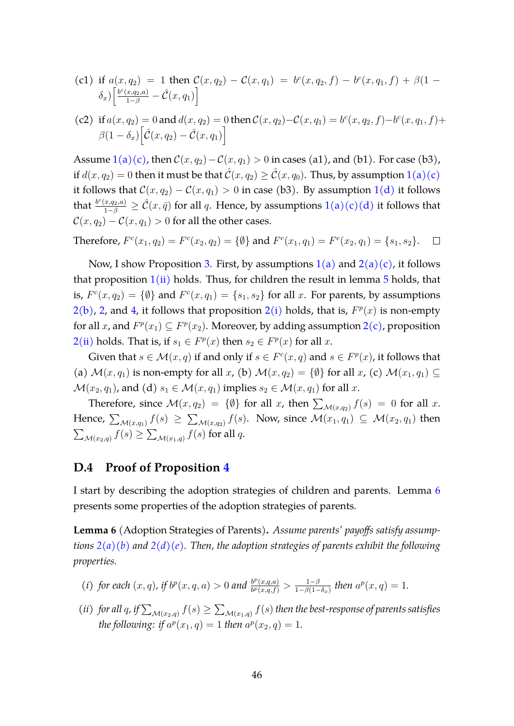(c1) if 
$$
a(x, q_2) = 1
$$
 then  $C(x, q_2) - C(x, q_1) = b^c(x, q_2, f) - b^c(x, q_1, f) + \beta(1 - \delta_x) \left[ \frac{b^c(x, q_2, a)}{1 - \beta} - \hat{C}(x, q_1) \right]$ 

(c2) if 
$$
a(x, q_2) = 0
$$
 and  $d(x, q_2) = 0$  then  $C(x, q_2) - C(x, q_1) = b^c(x, q_2, f) - b^c(x, q_1, f) +$   
\n
$$
\beta(1 - \delta_x) \left[ \hat{C}(x, q_2) - \hat{C}(x, q_1) \right]
$$

Assume  $1(a)(c)$  $1(a)(c)$  $1(a)(c)$ , then  $\mathcal{C}(x, q_2) - \mathcal{C}(x, q_1) > 0$  in cases (a1), and (b1). For case (b3), if  $d(x, q_2) = 0$  then it must be that  $\hat{\mathcal{C}}(x, q_2) \geq \hat{\mathcal{C}}(x, q_0)$ . Thus, by assumption  $1(a)(c)$  $1(a)(c)$  $1(a)(c)$ it follows that  $C(x, q_2) - C(x, q_1) > 0$  $C(x, q_2) - C(x, q_1) > 0$  $C(x, q_2) - C(x, q_1) > 0$  in case (b3). By assumption 1[\(d\)](#page-12-4) it follows that  $\frac{b^c(x,q_2,a)}{1-\beta}\geq \hat{\mathcal{C}}(x,\bar{q})$  $\frac{b^c(x,q_2,a)}{1-\beta}\geq \hat{\mathcal{C}}(x,\bar{q})$  $\frac{b^c(x,q_2,a)}{1-\beta}\geq \hat{\mathcal{C}}(x,\bar{q})$  for all  $q$ . Hence, by assumptions  $1(a)(c)(d)$  $1(a)(c)(d)$  $1(a)(c)(d)$  $1(a)(c)(d)$  it follows that  $\mathcal{C}(x,q_2) - \mathcal{C}(x,q_1) > 0$  for all the other cases.

Therefore, 
$$
F^c(x_1, q_2) = F^c(x_2, q_2) = \{\emptyset\}
$$
 and  $F^c(x_1, q_1) = F^c(x_2, q_1) = \{s_1, s_2\}.$ 

Now, I show Proposition [3.](#page-21-0) First, by assumptions  $1(a)$  $1(a)$  and  $2(a)(c)$  $2(a)(c)$ , it follows that proposition  $1(i)$  $1(i)$  holds. Thus, for children the result in lemma  $5$  holds, that is,  $F^c(x,q_2) = \{\emptyset\}$  and  $F^c(x,q_1) = \{s_1, s_2\}$  for all x. For parents, by assumptions  $2(b)$  $2(b)$ , [2,](#page-0-0) and [4,](#page-20-0) it follows that proposition  $2(i)$  $2(i)$  holds, that is,  $F<sup>p</sup>(x)$  is non-empty for all x, and  $F^p(x_1) \subseteq F^p(x_2)$  $F^p(x_1) \subseteq F^p(x_2)$  $F^p(x_1) \subseteq F^p(x_2)$ . Moreover, by adding assumption  $2(c)$ , proposition  $2(i)$  $2(i)$  holds. That is, if  $s_1 \in F^p(x)$  then  $s_2 \in F^p(x)$  for all x.

Given that  $s \in \mathcal{M}(x,q)$  if and only if  $s \in F^c(x,q)$  and  $s \in F^p(x)$ , it follows that (a)  $\mathcal{M}(x, q_1)$  is non-empty for all x, (b)  $\mathcal{M}(x, q_2) = \{ \emptyset \}$  for all x, (c)  $\mathcal{M}(x_1, q_1) \subseteq$  $\mathcal{M}(x_2, q_1)$ , and (d)  $s_1 \in \mathcal{M}(x, q_1)$  implies  $s_2 \in \mathcal{M}(x, q_1)$  for all x.

Therefore, since  $\mathcal{M}(x,q_2) = \{\emptyset\}$  for all x, then  $\sum_{\mathcal{M}(x,q_2)} f(s) = 0$  for all x. Hence,  $\sum_{\mathcal{M}(x,q_1)} f(s) \geq \sum_{\mathcal{M}(x,q_2)} f(s)$ . Now, since  $\mathcal{M}(x_1,q_1) \subseteq \mathcal{M}(x_2,q_1)$  then  $\sum_{\mathcal{M}(x_2,q)} f(s) \geq \sum_{\mathcal{M}(x_1,q)} f(s)$  for all q.

### <span id="page-45-0"></span>**D.4 Proof of Proposition [4](#page-22-0)**

I start by describing the adoption strategies of children and parents. Lemma [6](#page-45-1) presents some properties of the adoption strategies of parents.

<span id="page-45-1"></span>**Lemma 6** (Adoption Strategies of Parents)**.** *Assume parents' payoffs satisfy assumptions [2](#page-0-0)[\(a\)](#page-13-0)[\(b\)](#page-13-1) and [2](#page-0-0)[\(d\)](#page-13-3)[\(e\).](#page-13-4) Then, the adoption strategies of parents exhibit the following properties.*

- *(i) for each*  $(x, q)$ *, if*  $b^p(x, q, a) > 0$  *and*  $\frac{b^p(x, q, a)}{b^p(x, q, f)}$  $\frac{b^p(x,q,a)}{b^p(x,q,f)} > \frac{1-\beta}{1-\beta(1-\beta)}$  $\frac{1-\beta}{1-\beta(1-\delta_x)}$  then  $a^p(x,q)=1$ .
- (*ii*) for all  $q$ , if  $\sum_{\mathcal{M}(x_2,q)}f(s)\geq \sum_{\mathcal{M}(x_1,q)}f(s)$  then the best-response of parents satisfies *the following: if*  $a^p(x_1, q) = 1$  *then*  $a^p(x_2, q) = 1$ *.*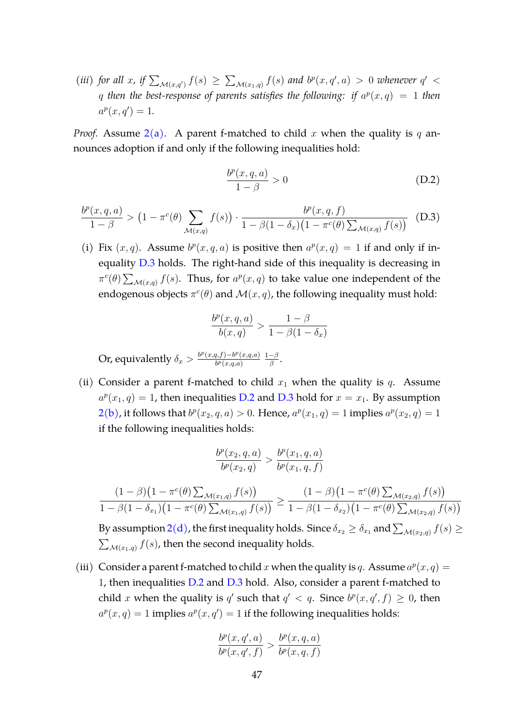(*iii*) for all x, if  $\sum_{\mathcal{M}(x,q')} f(s) \geq \sum_{\mathcal{M}(x_1,q)} f(s)$  and  $b^p(x,q',a) > 0$  whenever  $q' <$ q then the best-response of parents satisfies the following: if  $a^p(x,q) = 1$  then  $a^p(x, q') = 1.$ 

*Proof.* Assume  $2(a)$  $2(a)$ . A parent f-matched to child x when the quality is q announces adoption if and only if the following inequalities hold:

<span id="page-46-1"></span>
$$
\frac{b^p(x,q,a)}{1-\beta} > 0
$$
 (D.2)

<span id="page-46-0"></span>
$$
\frac{b^p(x,q,a)}{1-\beta} > (1 - \pi^c(\theta) \sum_{\mathcal{M}(x,q)} f(s)) \cdot \frac{b^p(x,q,f)}{1 - \beta(1 - \delta_x)(1 - \pi^c(\theta) \sum_{\mathcal{M}(x,q)} f(s))}
$$
(D.3)

(i) Fix  $(x, q)$ . Assume  $b^p(x, q, a)$  is positive then  $a^p(x, q) = 1$  if and only if inequality [D.3](#page-46-0) holds. The right-hand side of this inequality is decreasing in  $\pi^c(\theta) \sum_{\mathcal{M}(x,q)} f(s)$ . Thus, for  $a^p(x,q)$  to take value one independent of the endogenous objects  $\pi^c(\theta)$  and  $\mathcal{M}(x,q)$ , the following inequality must hold:

$$
\frac{b^p(x,q,a)}{b(x,q)} > \frac{1-\beta}{1-\beta(1-\delta_x)}
$$

Or, equivalently  $\delta_x > \frac{b^p(x,q,f) - b^p(x,q,a)}{b^p(x,q,a)}$  $b^p(x,q,a)$  $1-\beta$  $\frac{-\beta}{\beta}$ .

(ii) Consider a parent f-matched to child  $x_1$  when the quality is q. Assume  $a^p(x_1, q) = 1$ , then inequalities [D.2](#page-46-1) and [D.3](#page-46-0) hold for  $x = x_1$ . By assumption  $2(b)$  $2(b)$ , it follows that  $b^p(x_2, q, a) > 0$ . Hence,  $a^p(x_1, q) = 1$  implies  $a^p(x_2, q) = 1$ if the following inequalities holds:

$$
\frac{b^p(x_2, q, a)}{b^p(x_2, q)} > \frac{b^p(x_1, q, a)}{b^p(x_1, q, f)}
$$

$$
\frac{(1-\beta)(1-\pi^{c}(\theta)\sum_{\mathcal{M}(x_1,q)}f(s))}{1-\beta(1-\delta_{x_1})(1-\pi^{c}(\theta)\sum_{\mathcal{M}(x_1,q)}f(s))} \geq \frac{(1-\beta)(1-\pi^{c}(\theta)\sum_{\mathcal{M}(x_2,q)}f(s))}{1-\beta(1-\delta_{x_2})(1-\pi^{c}(\theta)\sum_{\mathcal{M}(x_2,q)}f(s))}
$$

By assumption  $2(d)$  $2(d)$ , the first inequality holds. Since  $\delta_{x_2}\geq\delta_{x_1}$  and  $\sum_{\mathcal{M}(x_2,q)}f(s)\geq$  $\sum_{\mathcal{M}(x_1,q)} f(s)$ , then the second inequality holds.

(iii) Consider a parent f-matched to child x when the quality is q. Assume  $a^p(x, q) =$ 1, then inequalities [D.2](#page-46-1) and [D.3](#page-46-0) hold. Also, consider a parent f-matched to child x when the quality is q' such that  $q' < q$ . Since  $b^p(x, q', f) \geq 0$ , then  $a^p(x,q) = 1$  implies  $a^p(x,q') = 1$  if the following inequalities holds:

$$
\frac{b^p(x,q',a)}{b^p(x,q',f)} > \frac{b^p(x,q,a)}{b^p(x,q,f)}
$$